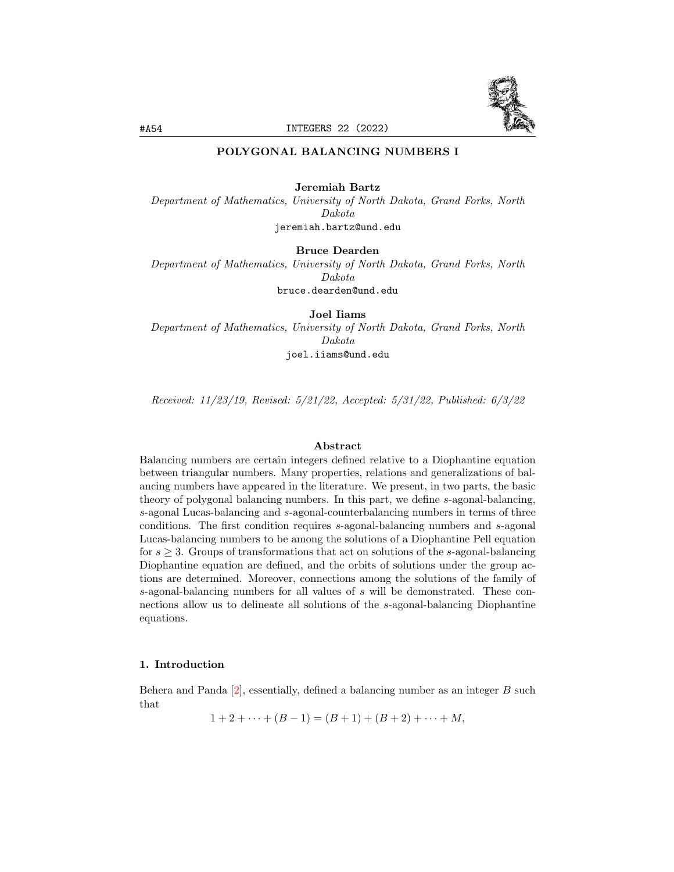

# POLYGONAL BALANCING NUMBERS I

#### Jeremiah Bartz

Department of Mathematics, University of North Dakota, Grand Forks, North Dakota jeremiah.bartz@und.edu

Bruce Dearden

Department of Mathematics, University of North Dakota, Grand Forks, North Dakota bruce.dearden@und.edu

Joel Iiams

Department of Mathematics, University of North Dakota, Grand Forks, North Dakota joel.iiams@und.edu

Received: 11/23/19, Revised: 5/21/22, Accepted: 5/31/22, Published: 6/3/22

#### Abstract

Balancing numbers are certain integers defined relative to a Diophantine equation between triangular numbers. Many properties, relations and generalizations of balancing numbers have appeared in the literature. We present, in two parts, the basic theory of polygonal balancing numbers. In this part, we define s-agonal-balancing, s-agonal Lucas-balancing and s-agonal-counterbalancing numbers in terms of three conditions. The first condition requires s-agonal-balancing numbers and s-agonal Lucas-balancing numbers to be among the solutions of a Diophantine Pell equation for  $s \geq 3$ . Groups of transformations that act on solutions of the s-agonal-balancing Diophantine equation are defined, and the orbits of solutions under the group actions are determined. Moreover, connections among the solutions of the family of s-agonal-balancing numbers for all values of s will be demonstrated. These connections allow us to delineate all solutions of the s-agonal-balancing Diophantine equations.

## <span id="page-0-0"></span>1. Introduction

Behera and Panda  $[2]$ , essentially, defined a balancing number as an integer  $B$  such that

 $1 + 2 + \cdots + (B - 1) = (B + 1) + (B + 2) + \cdots + M$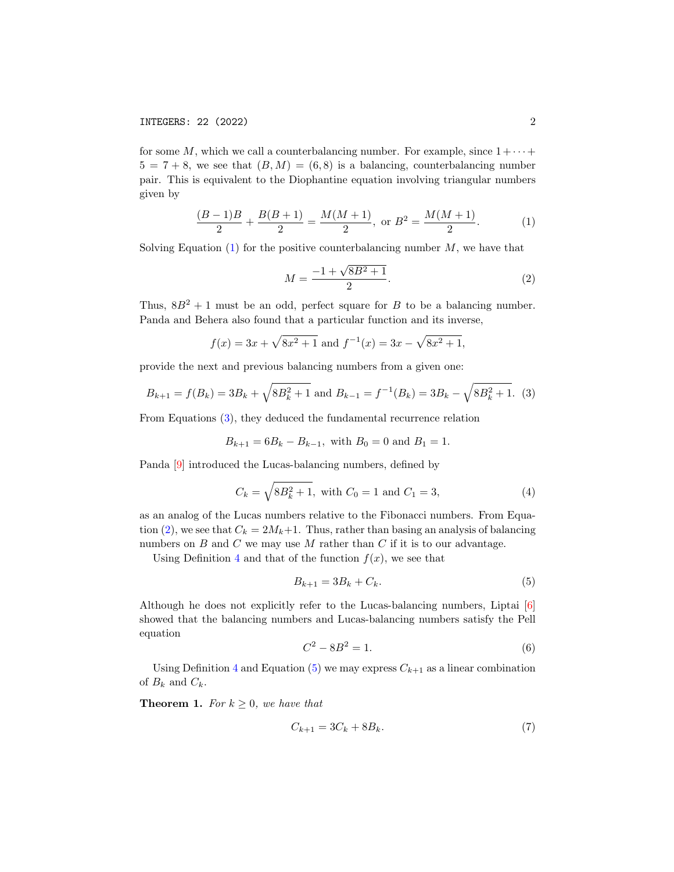for some M, which we call a counterbalancing number. For example, since  $1 + \cdots$  $5 = 7 + 8$ , we see that  $(B, M) = (6, 8)$  is a balancing, counterbalancing number pair. This is equivalent to the Diophantine equation involving triangular numbers given by

<span id="page-1-0"></span>
$$
\frac{(B-1)B}{2} + \frac{B(B+1)}{2} = \frac{M(M+1)}{2}, \text{ or } B^2 = \frac{M(M+1)}{2}.
$$
 (1)

Solving Equation  $(1)$  for the positive counterbalancing number  $M$ , we have that

<span id="page-1-2"></span>
$$
M = \frac{-1 + \sqrt{8B^2 + 1}}{2}.
$$
 (2)

Thus,  $8B^2 + 1$  must be an odd, perfect square for B to be a balancing number. Panda and Behera also found that a particular function and its inverse,

$$
f(x) = 3x + \sqrt{8x^2 + 1}
$$
 and  $f^{-1}(x) = 3x - \sqrt{8x^2 + 1}$ ,

provide the next and previous balancing numbers from a given one:

<span id="page-1-1"></span>
$$
B_{k+1} = f(B_k) = 3B_k + \sqrt{8B_k^2 + 1} \text{ and } B_{k-1} = f^{-1}(B_k) = 3B_k - \sqrt{8B_k^2 + 1}. \tag{3}
$$

From Equations [\(3\)](#page-1-1), they deduced the fundamental recurrence relation

$$
B_{k+1} = 6B_k - B_{k-1}
$$
, with  $B_0 = 0$  and  $B_1 = 1$ .

Panda [\[9\]](#page-25-0) introduced the Lucas-balancing numbers, defined by

<span id="page-1-3"></span>
$$
C_k = \sqrt{8B_k^2 + 1}, \text{ with } C_0 = 1 \text{ and } C_1 = 3,
$$
 (4)

as an analog of the Lucas numbers relative to the Fibonacci numbers. From Equa-tion [\(2\)](#page-1-2), we see that  $C_k = 2M_k+1$ . Thus, rather than basing an analysis of balancing numbers on  $B$  and  $C$  we may use  $M$  rather than  $C$  if it is to our advantage.

Using Definition [4](#page-1-3) and that of the function  $f(x)$ , we see that

<span id="page-1-4"></span>
$$
B_{k+1} = 3B_k + C_k.
$$
 (5)

Although he does not explicitly refer to the Lucas-balancing numbers, Liptai [\[6\]](#page-25-1) showed that the balancing numbers and Lucas-balancing numbers satisfy the Pell equation

<span id="page-1-5"></span>
$$
C^2 - 8B^2 = 1.\t\t(6)
$$

Using Definition [4](#page-1-3) and Equation [\(5\)](#page-1-4) we may express  $C_{k+1}$  as a linear combination of  $B_k$  and  $C_k$ .

**Theorem 1.** For  $k \geq 0$ , we have that

<span id="page-1-6"></span>
$$
C_{k+1} = 3C_k + 8B_k. \t\t(7)
$$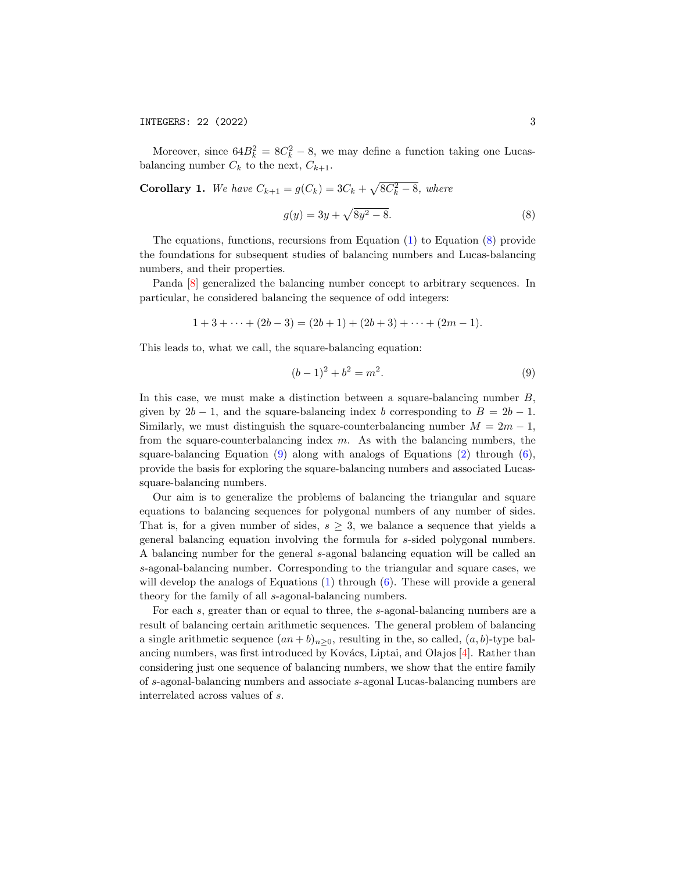Moreover, since  $64B_k^2 = 8C_k^2 - 8$ , we may define a function taking one Lucasbalancing number  $C_k$  to the next,  $C_{k+1}$ .

**Corollary 1.** *We have* 
$$
C_{k+1} = g(C_k) = 3C_k + \sqrt{8C_k^2 - 8}
$$
, *where*

<span id="page-2-0"></span>
$$
g(y) = 3y + \sqrt{8y^2 - 8}.
$$
 (8)

The equations, functions, recursions from Equation [\(1\)](#page-1-0) to Equation [\(8\)](#page-2-0) provide the foundations for subsequent studies of balancing numbers and Lucas-balancing numbers, and their properties.

Panda [\[8\]](#page-25-2) generalized the balancing number concept to arbitrary sequences. In particular, he considered balancing the sequence of odd integers:

$$
1+3+\cdots+(2b-3)=(2b+1)+(2b+3)+\cdots+(2m-1).
$$

This leads to, what we call, the square-balancing equation:

<span id="page-2-1"></span>
$$
(b-1)^2 + b^2 = m^2.
$$
 (9)

In this case, we must make a distinction between a square-balancing number  $B$ , given by  $2b - 1$ , and the square-balancing index b corresponding to  $B = 2b - 1$ . Similarly, we must distinguish the square-counterbalancing number  $M = 2m - 1$ , from the square-counterbalancing index  $m$ . As with the balancing numbers, the square-balancing Equation  $(9)$  along with analogs of Equations  $(2)$  through  $(6)$ , provide the basis for exploring the square-balancing numbers and associated Lucassquare-balancing numbers.

Our aim is to generalize the problems of balancing the triangular and square equations to balancing sequences for polygonal numbers of any number of sides. That is, for a given number of sides,  $s \geq 3$ , we balance a sequence that yields a general balancing equation involving the formula for s-sided polygonal numbers. A balancing number for the general s-agonal balancing equation will be called an s-agonal-balancing number. Corresponding to the triangular and square cases, we will develop the analogs of Equations [\(1\)](#page-1-0) through [\(6\)](#page-1-5). These will provide a general theory for the family of all s-agonal-balancing numbers.

For each s, greater than or equal to three, the s-agonal-balancing numbers are a result of balancing certain arithmetic sequences. The general problem of balancing a single arithmetic sequence  $(an + b)_{n>0}$ , resulting in the, so called,  $(a, b)$ -type bal-ancing numbers, was first introduced by Kovács, Liptai, and Olajos [\[4\]](#page-24-1). Rather than considering just one sequence of balancing numbers, we show that the entire family of s-agonal-balancing numbers and associate s-agonal Lucas-balancing numbers are interrelated across values of s.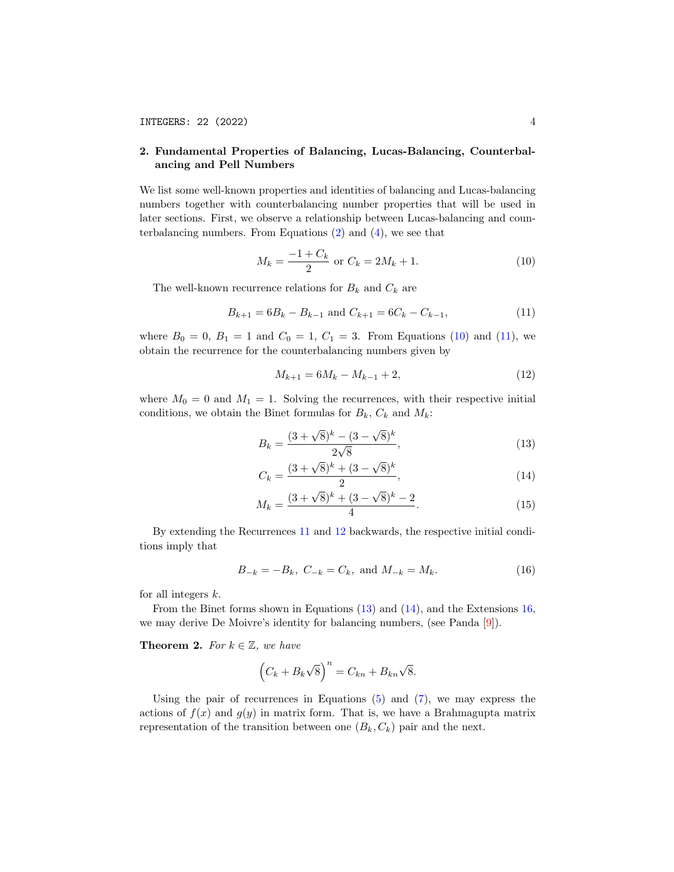## <span id="page-3-6"></span>2. Fundamental Properties of Balancing, Lucas-Balancing, Counterbalancing and Pell Numbers

We list some well-known properties and identities of balancing and Lucas-balancing numbers together with counterbalancing number properties that will be used in later sections. First, we observe a relationship between Lucas-balancing and counterbalancing numbers. From Equations [\(2\)](#page-1-2) and [\(4\)](#page-1-3), we see that

<span id="page-3-0"></span>
$$
M_k = \frac{-1 + C_k}{2} \text{ or } C_k = 2M_k + 1.
$$
 (10)

The well-known recurrence relations for  $B_k$  and  $C_k$  are

<span id="page-3-1"></span>
$$
B_{k+1} = 6B_k - B_{k-1} \text{ and } C_{k+1} = 6C_k - C_{k-1},\tag{11}
$$

where  $B_0 = 0$ ,  $B_1 = 1$  and  $C_0 = 1$ ,  $C_1 = 3$ . From Equations [\(10\)](#page-3-0) and [\(11\)](#page-3-1), we obtain the recurrence for the counterbalancing numbers given by

<span id="page-3-4"></span><span id="page-3-3"></span><span id="page-3-2"></span>
$$
M_{k+1} = 6M_k - M_{k-1} + 2,\t\t(12)
$$

where  $M_0 = 0$  and  $M_1 = 1$ . Solving the recurrences, with their respective initial conditions, we obtain the Binet formulas for  $B_k$ ,  $C_k$  and  $M_k$ :

$$
B_k = \frac{(3 + \sqrt{8})^k - (3 - \sqrt{8})^k}{2\sqrt{8}},
$$
\n(13)

$$
C_k = \frac{(3 + \sqrt{8})^k + (3 - \sqrt{8})^k}{2},\tag{14}
$$

$$
M_k = \frac{(3+\sqrt{8})^k + (3-\sqrt{8})^k - 2}{4}.
$$
\n(15)

By extending the Recurrences [11](#page-3-1) and [12](#page-3-2) backwards, the respective initial conditions imply that

<span id="page-3-5"></span>
$$
B_{-k} = -B_k, \ C_{-k} = C_k, \text{ and } M_{-k} = M_k. \tag{16}
$$

for all integers  $k$ .

From the Binet forms shown in Equations [\(13\)](#page-3-3) and [\(14\)](#page-3-4), and the Extensions [16,](#page-3-5) we may derive De Moivre's identity for balancing numbers, (see Panda [\[9\]](#page-25-0)).

**Theorem 2.** For  $k \in \mathbb{Z}$ , we have

$$
(C_k + B_k \sqrt{8})^n = C_{kn} + B_{kn} \sqrt{8}.
$$

Using the pair of recurrences in Equations  $(5)$  and  $(7)$ , we may express the actions of  $f(x)$  and  $g(y)$  in matrix form. That is, we have a Brahmagupta matrix representation of the transition between one  $(B_k, C_k)$  pair and the next.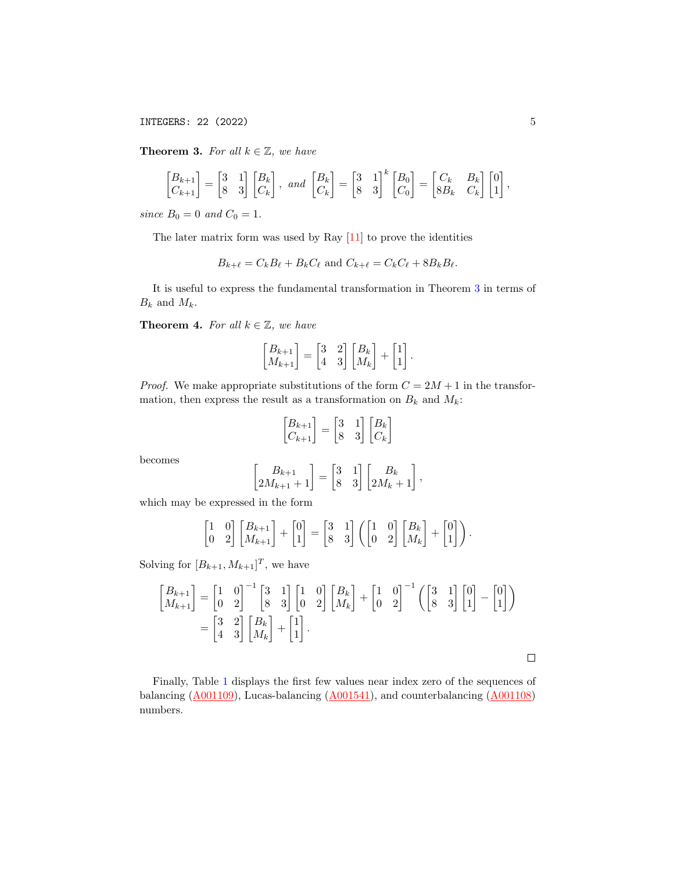INTEGERS: 22 (2022) 5

<span id="page-4-0"></span>**Theorem 3.** For all  $k \in \mathbb{Z}$ , we have

$$
\begin{bmatrix} B_{k+1} \\ C_{k+1} \end{bmatrix} = \begin{bmatrix} 3 & 1 \\ 8 & 3 \end{bmatrix} \begin{bmatrix} B_k \\ C_k \end{bmatrix}, \text{ and } \begin{bmatrix} B_k \\ C_k \end{bmatrix} = \begin{bmatrix} 3 & 1 \\ 8 & 3 \end{bmatrix}^k \begin{bmatrix} B_0 \\ C_0 \end{bmatrix} = \begin{bmatrix} C_k & B_k \\ 8B_k & C_k \end{bmatrix} \begin{bmatrix} 0 \\ 1 \end{bmatrix},
$$

since  $B_0 = 0$  and  $C_0 = 1$ .

The later matrix form was used by Ray [\[11\]](#page-25-3) to prove the identities

 $B_{k+\ell} = C_kB_\ell + B_kC_\ell$  and  $C_{k+\ell} = C_kC_\ell + 8B_kB_\ell.$ 

It is useful to express the fundamental transformation in Theorem [3](#page-4-0) in terms of  $B_k$  and  $M_k$ .

**Theorem 4.** For all  $k \in \mathbb{Z}$ , we have

$$
\begin{bmatrix} B_{k+1} \\ M_{k+1} \end{bmatrix} = \begin{bmatrix} 3 & 2 \\ 4 & 3 \end{bmatrix} \begin{bmatrix} B_k \\ M_k \end{bmatrix} + \begin{bmatrix} 1 \\ 1 \end{bmatrix}.
$$

*Proof.* We make appropriate substitutions of the form  $C = 2M + 1$  in the transformation, then express the result as a transformation on  $B_k$  and  $M_k$ :

$$
\begin{bmatrix} B_{k+1} \\ C_{k+1} \end{bmatrix} = \begin{bmatrix} 3 & 1 \\ 8 & 3 \end{bmatrix} \begin{bmatrix} B_k \\ C_k \end{bmatrix}
$$

becomes

$$
\begin{bmatrix} B_{k+1} \\ 2M_{k+1} + 1 \end{bmatrix} = \begin{bmatrix} 3 & 1 \\ 8 & 3 \end{bmatrix} \begin{bmatrix} B_k \\ 2M_k + 1 \end{bmatrix},
$$

which may be expressed in the form

$$
\begin{bmatrix} 1 & 0 \\ 0 & 2 \end{bmatrix} \begin{bmatrix} B_{k+1} \\ M_{k+1} \end{bmatrix} + \begin{bmatrix} 0 \\ 1 \end{bmatrix} = \begin{bmatrix} 3 & 1 \\ 8 & 3 \end{bmatrix} \left( \begin{bmatrix} 1 & 0 \\ 0 & 2 \end{bmatrix} \begin{bmatrix} B_k \\ M_k \end{bmatrix} + \begin{bmatrix} 0 \\ 1 \end{bmatrix} \right).
$$

Solving for  $[B_{k+1}, M_{k+1}]^T$ , we have

$$
\begin{bmatrix} B_{k+1} \\ M_{k+1} \end{bmatrix} = \begin{bmatrix} 1 & 0 \\ 0 & 2 \end{bmatrix}^{-1} \begin{bmatrix} 3 & 1 \\ 8 & 3 \end{bmatrix} \begin{bmatrix} 1 & 0 \\ 0 & 2 \end{bmatrix} \begin{bmatrix} B_k \\ M_k \end{bmatrix} + \begin{bmatrix} 1 & 0 \\ 0 & 2 \end{bmatrix}^{-1} \begin{bmatrix} 3 & 1 \\ 8 & 3 \end{bmatrix} \begin{bmatrix} 0 \\ 1 \end{bmatrix} - \begin{bmatrix} 0 \\ 1 \end{bmatrix} \end{bmatrix}
$$

$$
= \begin{bmatrix} 3 & 2 \\ 4 & 3 \end{bmatrix} \begin{bmatrix} B_k \\ M_k \end{bmatrix} + \begin{bmatrix} 1 \\ 1 \end{bmatrix}.
$$

 $\Box$ 

Finally, Table [1](#page-5-0) displays the first few values near index zero of the sequences of balancing  $(A001109)$ , Lucas-balancing  $(A001541)$ , and counterbalancing  $(A001108)$ numbers.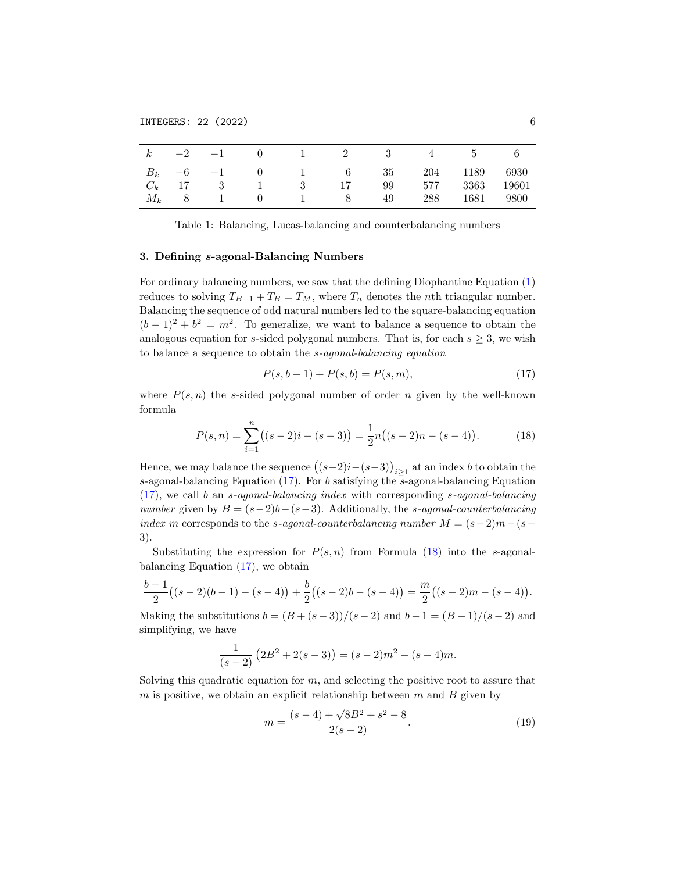| $\boldsymbol{k}$ |                                     |     |              | $-2$ $-1$ 0 1 2 3 |     | $\sim$ 4 | $\mathcal{D}$ |            |
|------------------|-------------------------------------|-----|--------------|-------------------|-----|----------|---------------|------------|
|                  |                                     |     |              | $B_k$ -6 -1 0 1 6 | -35 |          | 204 1189      | 6930       |
| $C_k$ 17         | $\overline{\phantom{a}}$ 3          | 1 3 |              | 17                | 99  | 577      |               | 3363 19601 |
| $M_k$ 8          | $\epsilon = -1$ and $\epsilon = -1$ |     | $0 \qquad 1$ | -8                | 49  | 288      | 1681          | 9800       |

<span id="page-5-0"></span>Table 1: Balancing, Lucas-balancing and counterbalancing numbers

## 3. Defining s-agonal-Balancing Numbers

For ordinary balancing numbers, we saw that the defining Diophantine Equation [\(1\)](#page-0-0) reduces to solving  $T_{B-1} + T_B = T_M$ , where  $T_n$  denotes the *n*th triangular number. Balancing the sequence of odd natural numbers led to the square-balancing equation  $(b-1)^2 + b^2 = m^2$ . To generalize, we want to balance a sequence to obtain the analogous equation for s-sided polygonal numbers. That is, for each  $s \geq 3$ , we wish to balance a sequence to obtain the s-agonal-balancing equation

<span id="page-5-1"></span>
$$
P(s, b-1) + P(s, b) = P(s, m),
$$
\n(17)

where  $P(s, n)$  the s-sided polygonal number of order n given by the well-known formula

<span id="page-5-2"></span>
$$
P(s,n) = \sum_{i=1}^{n} ((s-2)i - (s-3)) = \frac{1}{2}n((s-2)n - (s-4)).
$$
 (18)

Hence, we may balance the sequence  $((s-2)i-(s-3))_{i\geq 1}$  at an index b to obtain the s-agonal-balancing Equation [\(17\)](#page-5-1). For b satisfying the s-agonal-balancing Equation  $(17)$ , we call b an s-agonal-balancing index with corresponding s-agonal-balancing number given by  $B = (s-2)b-(s-3)$ . Additionally, the s-agonal-counterbalancing index m corresponds to the s-agonal-counterbalancing number  $M = (s-2)m-(s-1)$ 3).

Substituting the expression for  $P(s, n)$  from Formula [\(18\)](#page-5-2) into the s-agonalbalancing Equation [\(17\)](#page-5-1), we obtain

$$
\frac{b-1}{2}((s-2)(b-1)-(s-4))+\frac{b}{2}((s-2)b-(s-4))=\frac{m}{2}((s-2)m-(s-4)).
$$

Making the substitutions  $b = (B + (s-3))/(s-2)$  and  $b-1 = (B-1)/(s-2)$  and simplifying, we have

$$
\frac{1}{(s-2)}\left(2B^2 + 2(s-3)\right) = (s-2)m^2 - (s-4)m.
$$

Solving this quadratic equation for  $m$ , and selecting the positive root to assure that m is positive, we obtain an explicit relationship between  $m$  and  $B$  given by

<span id="page-5-3"></span>
$$
m = \frac{(s-4) + \sqrt{8B^2 + s^2 - 8}}{2(s-2)}.
$$
\n(19)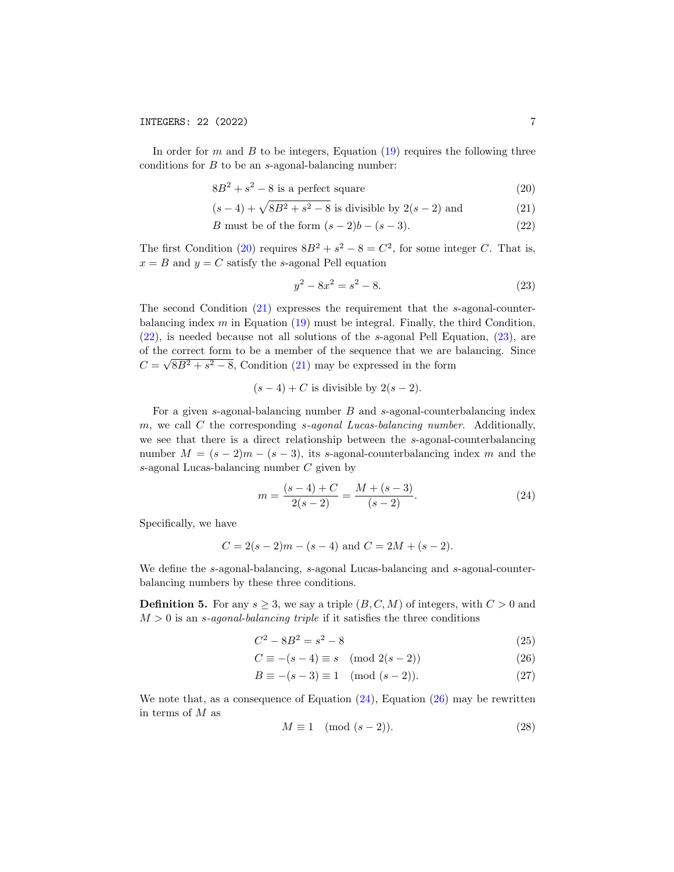In order for  $m$  and  $B$  to be integers, Equation [\(19\)](#page-5-3) requires the following three conditions for  $B$  to be an s-agonal-balancing number:

$$
8B^2 + s^2 - 8
$$
 is a perfect square (20)

$$
(s-4) + \sqrt{8B^2 + s^2 - 8}
$$
 is divisible by  $2(s-2)$  and (21)

$$
B \text{ must be of the form } (s-2)b - (s-3). \tag{22}
$$

The first Condition [\(20\)](#page-6-0) requires  $8B^2 + s^2 - 8 = C^2$ , for some integer C. That is,  $x = B$  and  $y = C$  satisfy the s-agonal Pell equation

<span id="page-6-3"></span><span id="page-6-2"></span><span id="page-6-1"></span><span id="page-6-0"></span>
$$
y^2 - 8x^2 = s^2 - 8.\tag{23}
$$

The second Condition [\(21\)](#page-6-1) expresses the requirement that the s-agonal-counterbalancing index  $m$  in Equation [\(19\)](#page-5-3) must be integral. Finally, the third Condition, [\(22\)](#page-6-2), is needed because not all solutions of the s-agonal Pell Equation, [\(23\)](#page-6-3), are of the correct form to be a member of the sequence that we are balancing. Since  $C = \sqrt{8B^2 + s^2 - 8}$ , Condition [\(21\)](#page-6-1) may be expressed in the form

$$
(s-4)+C
$$
 is divisible by  $2(s-2)$ .

For a given s-agonal-balancing number  $B$  and s-agonal-counterbalancing index m, we call C the corresponding  $s$ -agonal Lucas-balancing number. Additionally, we see that there is a direct relationship between the s-agonal-counterbalancing number  $M = (s-2)m - (s-3)$ , its s-agonal-counterbalancing index m and the s-agonal Lucas-balancing number C given by

<span id="page-6-4"></span>
$$
m = \frac{(s-4) + C}{2(s-2)} = \frac{M + (s-3)}{(s-2)}.
$$
\n(24)

Specifically, we have

$$
C = 2(s - 2)m - (s - 4)
$$
 and  $C = 2M + (s - 2)$ .

We define the s-agonal-balancing, s-agonal Lucas-balancing and s-agonal-counterbalancing numbers by these three conditions.

<span id="page-6-7"></span>**Definition 5.** For any  $s \geq 3$ , we say a triple  $(B, C, M)$  of integers, with  $C > 0$  and  $M > 0$  is an s-agonal-balancing triple if it satisfies the three conditions

$$
C^2 - 8B^2 = s^2 - 8\tag{25}
$$

$$
C \equiv -(s-4) \equiv s \pmod{2(s-2)}\tag{26}
$$

$$
B \equiv -(s-3) \equiv 1 \pmod{(s-2)}.
$$
 (27)

We note that, as a consequence of Equation [\(24\)](#page-6-4), Equation [\(26\)](#page-6-5) may be rewritten in terms of M as

<span id="page-6-6"></span><span id="page-6-5"></span>
$$
M \equiv 1 \pmod{(s-2)}.\tag{28}
$$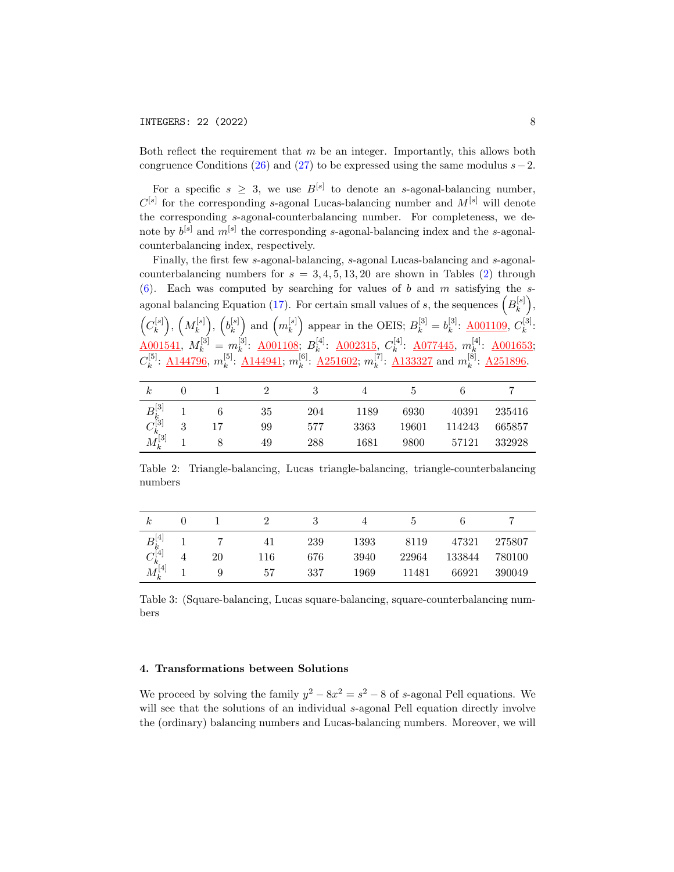Both reflect the requirement that  $m$  be an integer. Importantly, this allows both congruence Conditions [\(26\)](#page-6-5) and [\(27\)](#page-6-6) to be expressed using the same modulus  $s-2$ .

For a specific  $s \geq 3$ , we use  $B^{[s]}$  to denote an s-agonal-balancing number,  $C^{[s]}$  for the corresponding s-agonal Lucas-balancing number and  $M^{[s]}$  will denote the corresponding s-agonal-counterbalancing number. For completeness, we denote by  $b^{[s]}$  and  $m^{[s]}$  the corresponding s-agonal-balancing index and the s-agonalcounterbalancing index, respectively.

Finally, the first few s-agonal-balancing, s-agonal Lucas-balancing and s-agonalcounterbalancing numbers for  $s = 3, 4, 5, 13, 20$  are shown in Tables [\(2\)](#page-7-0) through [\(6\)](#page-8-0). Each was computed by searching for values of b and m satisfying the s-agonal balancing Equation [\(17\)](#page-5-1). For certain small values of s, the sequences  $(B<sub>k</sub><sup>[s]</sup>)$  $\genfrac{[}{]}{0pt}{}{[s]}{k},$  $\left(C_k^{[s]}\right)$  $\binom{[s]}{k},\;\left( M_{k}^{[s]}\right)$  $\left(b_k^{\left[s\right]}\right),\ \left(b_k^{\left[s\right]}\right)$  $\binom{[s]}{k}$  and  $\left(m_k^{[s]}\right)$  ${k \choose k}$  appear in the OEIS;  $B_k^{[3]} = b_k^{[3]}$  $k^{[3]}\colon \underline{\rm A001109},\,C_k^{[3]}$  $\frac{k!}{k}$ :  $\frac{\text{A001541}}{M_k}$ ,  $M_k^{[3]} = m_k^{[3]}$  $\stackrel{[3]}{k}$ : <u>A001108</u>;  $B_k^{[4]}$  $\mathcal{L}_k^{[4]}$ : <u>A002315</u>,  $C_k^{[4]}$  $_{k}^{[4]}\colon \; \underline{\rm A077445},\; m_{k}^{[4]}$  $\frac{k}{k}$ : <u>A001653</u>;  $C_k^{{[5]}}$  $_{k}^{[5]}\colon \underline{\rm A144796},\, m_{k}^{[5]}$  $_{k}^{[5]}\colon \underline{\rm A144941}; \, m_{k}^{[6]}$  $_{k}^{[6]}\colon \underline{\rm A251602}; \, m_{k}^{[7]}$  $k^{[7]}$ :  $\underline{A133327}$  $\underline{A133327}$  $\underline{A133327}$  and  $m_k^{[8]}$  $k^{[8]}$ :  $\underline{A251896}$ .

| $_{\kappa}$             |        |    |     |      |       |        |        |
|-------------------------|--------|----|-----|------|-------|--------|--------|
| $B_k^{[3]}$             |        | 35 | 204 | 1189 | 6930  | 40391  | 235416 |
|                         | 9<br>ບ | 99 | 577 | 3363 | 19601 | 114243 | 665857 |
| $\frac{C_k}{M_k^{[3]}}$ |        | 49 | 288 | 1681 | 9800  | 57121  | 332928 |

<span id="page-7-0"></span>Table 2: Triangle-balancing, Lucas triangle-balancing, triangle-counterbalancing numbers

| $_{\kappa}$                                                        |    |     |     |      |       |        |        |
|--------------------------------------------------------------------|----|-----|-----|------|-------|--------|--------|
| $\begin{array}{c} B_k^{[4]} \\ C_k^{[4]} \\ M_k^{[4]} \end{array}$ |    | 41  | 239 | 1393 | 8119  | 47321  | 275807 |
|                                                                    | 20 | 116 | 676 | 3940 | 22964 | 133844 | 780100 |
|                                                                    | Q  | 57  | 337 | 1969 | 11481 | 66921  | 390049 |

Table 3: (Square-balancing, Lucas square-balancing, square-counterbalancing numbers

## 4. Transformations between Solutions

We proceed by solving the family  $y^2 - 8x^2 = s^2 - 8$  of s-agonal Pell equations. We will see that the solutions of an individual s-agonal Pell equation directly involve the (ordinary) balancing numbers and Lucas-balancing numbers. Moreover, we will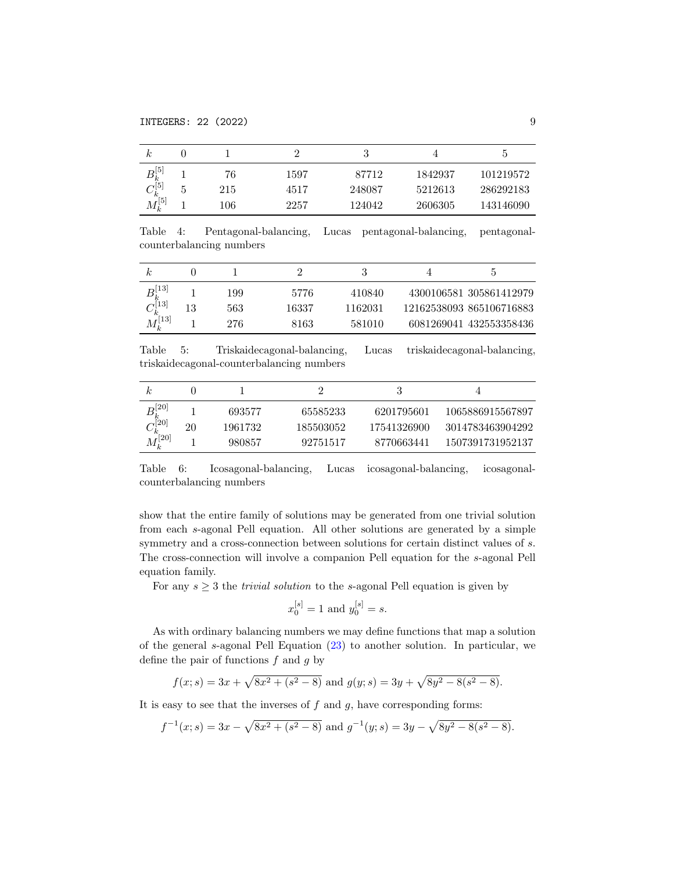| k.                              |   |     |      |        |         |           |
|---------------------------------|---|-----|------|--------|---------|-----------|
| $B_k^{[5]}$                     |   | 76  | 1597 | 87712  | 1842937 | 101219572 |
|                                 | G | 215 | 4517 | 248087 | 5212613 | 286292183 |
| $\frac{C_{k}^{+}}{M_{k}^{[5]}}$ |   | 106 | 2257 | 124042 | 2606305 | 143146090 |

Table 4: Pentagonal-balancing, Lucas pentagonal-balancing, pentagonalcounterbalancing numbers

| $B_{k}^{[13]} \ C_{k}^{[13]}$ |    | 199 | 5776  | 410840  | 4300106581 305861412979  |
|-------------------------------|----|-----|-------|---------|--------------------------|
|                               | 13 | 563 | 16337 | 1162031 | 12162538093 865106716883 |
| $M_{\nu}^{[13]}$              |    | 276 | 8163  | 581010  | 6081269041 432553358436  |

Table 5: Triskaidecagonal-balancing, Lucas triskaidecagonal-balancing, triskaidecagonal-counterbalancing numbers

|                           |    |         |           |             | 4                |
|---------------------------|----|---------|-----------|-------------|------------------|
| $B_k^{[20]} \ C_k^{[20]}$ |    | 693577  | 65585233  | 6201795601  | 1065886915567897 |
|                           | 20 | 1961732 | 185503052 | 17541326900 | 3014783463904292 |
| $M_k^{[20]}$              |    | 980857  | 92751517  | 8770663441  | 1507391731952137 |

<span id="page-8-0"></span>Table 6: Icosagonal-balancing, Lucas icosagonal-balancing, icosagonalcounterbalancing numbers

show that the entire family of solutions may be generated from one trivial solution from each s-agonal Pell equation. All other solutions are generated by a simple symmetry and a cross-connection between solutions for certain distinct values of s. The cross-connection will involve a companion Pell equation for the s-agonal Pell equation family.

For any  $s \geq 3$  the *trivial solution* to the s-agonal Pell equation is given by

$$
x_0^{[s]} = 1
$$
 and  $y_0^{[s]} = s$ .

As with ordinary balancing numbers we may define functions that map a solution of the general s-agonal Pell Equation [\(23\)](#page-6-3) to another solution. In particular, we define the pair of functions  $f$  and  $g$  by

$$
f(x; s) = 3x + \sqrt{8x^2 + (s^2 - 8)}
$$
 and  $g(y; s) = 3y + \sqrt{8y^2 - 8(s^2 - 8)}$ .

It is easy to see that the inverses of  $f$  and  $g$ , have corresponding forms:

$$
f^{-1}(x; s) = 3x - \sqrt{8x^2 + (s^2 - 8)}
$$
 and  $g^{-1}(y; s) = 3y - \sqrt{8y^2 - 8(s^2 - 8)}$ .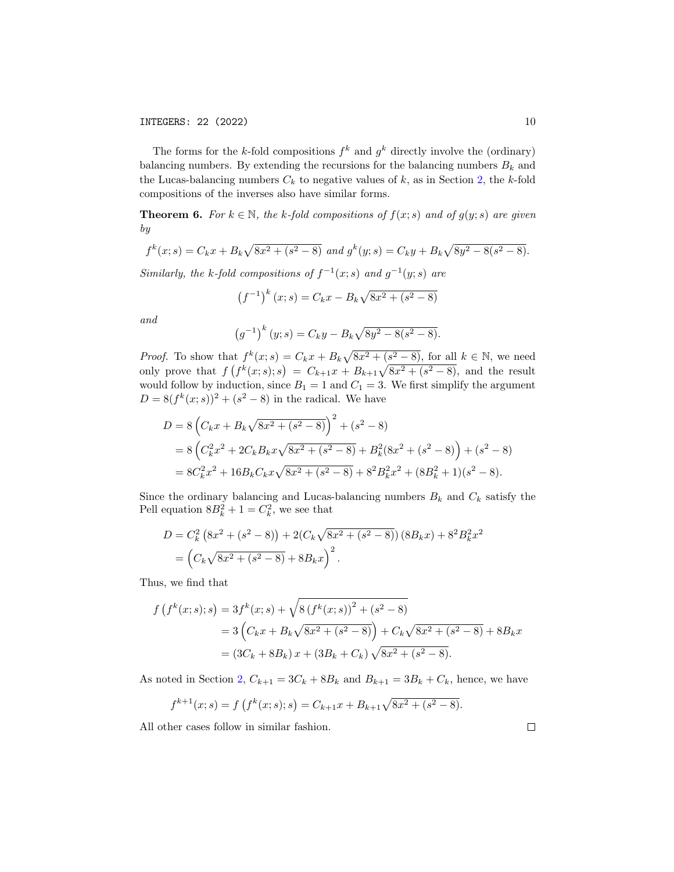The forms for the k-fold compositions  $f^k$  and  $g^k$  directly involve the (ordinary) balancing numbers. By extending the recursions for the balancing numbers  $B_k$  and the Lucas-balancing numbers  $C_k$  to negative values of  $k$ , as in Section [2,](#page-3-6) the  $k$ -fold compositions of the inverses also have similar forms.

<span id="page-9-0"></span>**Theorem 6.** For  $k \in \mathbb{N}$ , the k-fold compositions of  $f(x; s)$  and of  $g(y; s)$  are given by

$$
f^{k}(x; s) = C_{k}x + B_{k}\sqrt{8x^{2} + (s^{2} - 8)} \text{ and } g^{k}(y; s) = C_{k}y + B_{k}\sqrt{8y^{2} - 8(s^{2} - 8)}.
$$

Similarly, the k-fold compositions of  $f^{-1}(x; s)$  and  $g^{-1}(y; s)$  are

$$
(f^{-1})^k (x; s) = C_k x - B_k \sqrt{8x^2 + (s^2 - 8)}
$$

and

$$
(g^{-1})^k (y; s) = C_k y - B_k \sqrt{8y^2 - 8(s^2 - 8)}.
$$

*Proof.* To show that  $f^k(x; s) = C_k x + B_k \sqrt{8x^2 + (s^2 - 8)}$ , for all  $k \in \mathbb{N}$ , we need only prove that  $f(f^k(x; s); s) = C_{k+1}x + B_{k+1}\sqrt{8x^2 + (s^2 - 8)}$ , and the result would follow by induction, since  $B_1 = 1$  and  $C_1 = 3$ . We first simplify the argument  $D = 8(f^k(x; s))^2 + (s^2 - 8)$  in the radical. We have

$$
D = 8\left(C_k x + B_k \sqrt{8x^2 + (s^2 - 8)}\right)^2 + (s^2 - 8)
$$
  
= 8\left(C\_k^2 x^2 + 2C\_k B\_k x \sqrt{8x^2 + (s^2 - 8)}\right) + B\_k^2 (8x^2 + (s^2 - 8)) + (s^2 - 8)  
= 8C\_k^2 x^2 + 16B\_k C\_k x \sqrt{8x^2 + (s^2 - 8)} + 8^2 B\_k^2 x^2 + (8B\_k^2 + 1)(s^2 - 8).

Since the ordinary balancing and Lucas-balancing numbers  $B_k$  and  $C_k$  satisfy the Pell equation  $8B_k^2 + 1 = C_k^2$ , we see that

$$
D = C_k^2 (8x^2 + (s^2 - 8)) + 2(C_k \sqrt{8x^2 + (s^2 - 8)}) (8B_k x) + 8^2 B_k^2 x^2
$$
  
=  $(C_k \sqrt{8x^2 + (s^2 - 8)} + 8B_k x)^2$ .

Thus, we find that

$$
f(f^{k}(x;s);s) = 3f^{k}(x;s) + \sqrt{8(f^{k}(x;s))^{2} + (s^{2} - 8)}
$$
  
= 3\left(C\_{k}x + B\_{k}\sqrt{8x^{2} + (s^{2} - 8)}\right) + C\_{k}\sqrt{8x^{2} + (s^{2} - 8)} + 8B\_{k}x  
= (3C\_{k} + 8B\_{k})x + (3B\_{k} + C\_{k})\sqrt{8x^{2} + (s^{2} - 8)}.

As noted in Section [2,](#page-3-6)  $C_{k+1} = 3C_k + 8B_k$  and  $B_{k+1} = 3B_k + C_k$ , hence, we have

$$
f^{k+1}(x;s) = f(f^k(x;s);s) = C_{k+1}x + B_{k+1}\sqrt{8x^2 + (s^2 - 8)}.
$$

All other cases follow in similar fashion.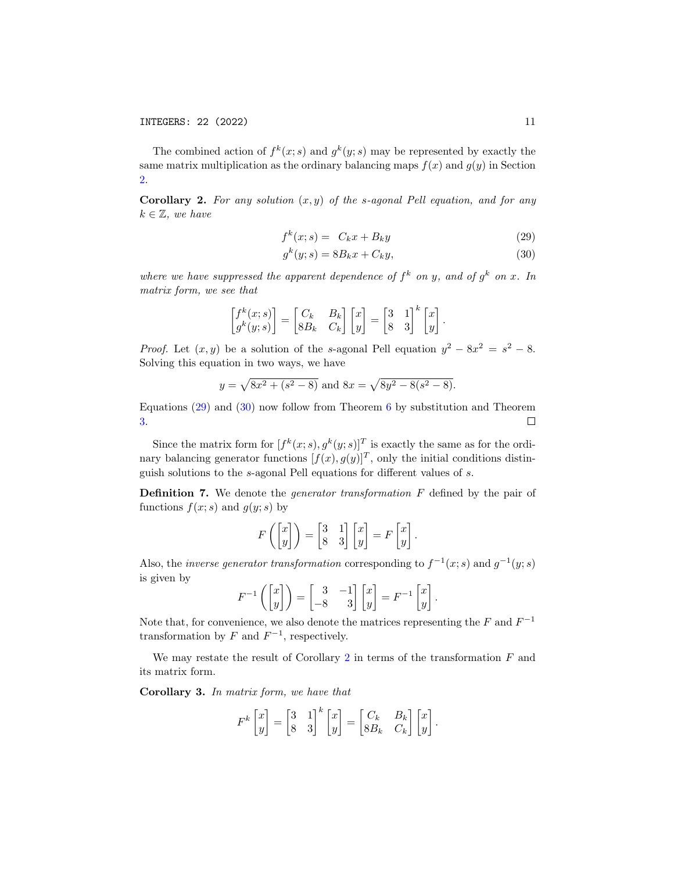The combined action of  $f^k(x; s)$  and  $g^k(y; s)$  may be represented by exactly the same matrix multiplication as the ordinary balancing maps  $f(x)$  and  $q(y)$  in Section [2.](#page-3-6)

<span id="page-10-2"></span>**Corollary 2.** For any solution  $(x, y)$  of the s-agonal Pell equation, and for any  $k \in \mathbb{Z}$ , we have

<span id="page-10-0"></span>
$$
f^k(x; s) = C_k x + B_k y \tag{29}
$$

<span id="page-10-1"></span>
$$
g^k(y;s) = 8B_kx + C_ky,\tag{30}
$$

where we have suppressed the apparent dependence of  $f^k$  on y, and of  $g^k$  on x. In matrix form, we see that

$$
\begin{bmatrix} f^k(x;s) \\ g^k(y;s) \end{bmatrix} = \begin{bmatrix} C_k & B_k \\ 8B_k & C_k \end{bmatrix} \begin{bmatrix} x \\ y \end{bmatrix} = \begin{bmatrix} 3 & 1 \\ 8 & 3 \end{bmatrix}^k \begin{bmatrix} x \\ y \end{bmatrix}.
$$

*Proof.* Let  $(x, y)$  be a solution of the s-agonal Pell equation  $y^2 - 8x^2 = s^2 - 8$ . Solving this equation in two ways, we have

$$
y = \sqrt{8x^2 + (s^2 - 8)}
$$
 and  $8x = \sqrt{8y^2 - 8(s^2 - 8)}$ .

Equations [\(29\)](#page-10-0) and [\(30\)](#page-10-1) now follow from Theorem [6](#page-9-0) by substitution and Theorem [3.](#page-4-0)  $\Box$ 

Since the matrix form for  $[f^k(x; s), g^k(y; s)]^T$  is exactly the same as for the ordinary balancing generator functions  $[f(x), g(y)]^T$ , only the initial conditions distinguish solutions to the s-agonal Pell equations for different values of s.

Definition 7. We denote the generator transformation F defined by the pair of functions  $f(x; s)$  and  $g(y; s)$  by

$$
F\left(\begin{bmatrix} x \\ y \end{bmatrix}\right) = \begin{bmatrix} 3 & 1 \\ 8 & 3 \end{bmatrix} \begin{bmatrix} x \\ y \end{bmatrix} = F\begin{bmatrix} x \\ y \end{bmatrix}.
$$

Also, the *inverse generator transformation* corresponding to  $f^{-1}(x; s)$  and  $g^{-1}(y; s)$ is given by

$$
F^{-1}\left(\begin{bmatrix} x \\ y \end{bmatrix}\right) = \begin{bmatrix} 3 & -1 \\ -8 & 3 \end{bmatrix} \begin{bmatrix} x \\ y \end{bmatrix} = F^{-1}\begin{bmatrix} x \\ y \end{bmatrix}.
$$

Note that, for convenience, we also denote the matrices representing the  $F$  and  $F^{-1}$ transformation by  $F$  and  $F^{-1}$ , respectively.

We may restate the result of Corollary [2](#page-10-2) in terms of the transformation  $F$  and its matrix form.

Corollary 3. In matrix form, we have that

$$
F^{k}\begin{bmatrix} x \\ y \end{bmatrix} = \begin{bmatrix} 3 & 1 \\ 8 & 3 \end{bmatrix}^{k} \begin{bmatrix} x \\ y \end{bmatrix} = \begin{bmatrix} C_{k} & B_{k} \\ 8B_{k} & C_{k} \end{bmatrix} \begin{bmatrix} x \\ y \end{bmatrix}.
$$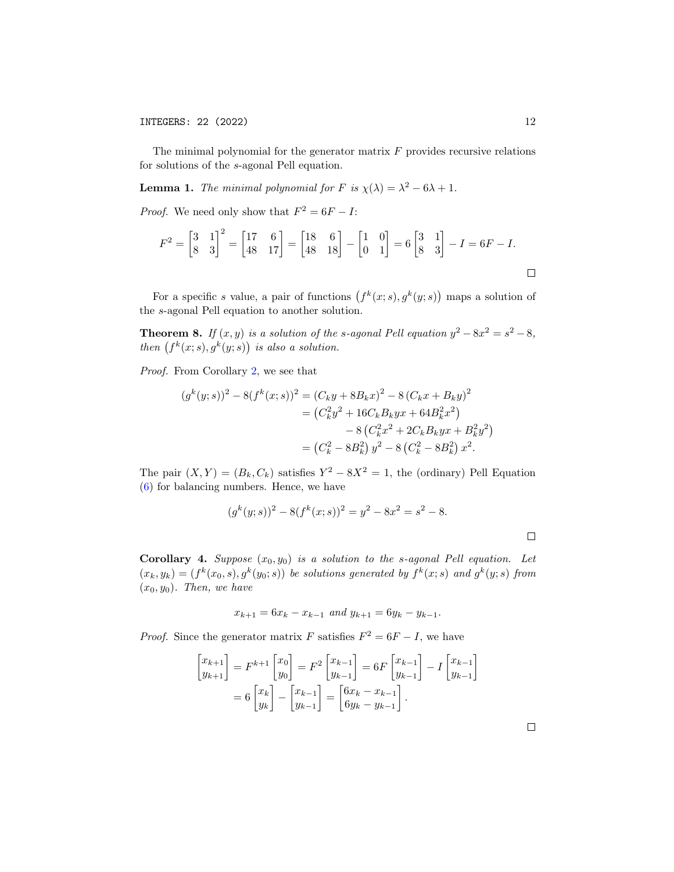The minimal polynomial for the generator matrix  $F$  provides recursive relations for solutions of the s-agonal Pell equation.

**Lemma 1.** The minimal polynomial for F is  $\chi(\lambda) = \lambda^2 - 6\lambda + 1$ .

*Proof.* We need only show that  $F^2 = 6F - I$ :

$$
F^{2} = \begin{bmatrix} 3 & 1 \\ 8 & 3 \end{bmatrix}^{2} = \begin{bmatrix} 17 & 6 \\ 48 & 17 \end{bmatrix} = \begin{bmatrix} 18 & 6 \\ 48 & 18 \end{bmatrix} - \begin{bmatrix} 1 & 0 \\ 0 & 1 \end{bmatrix} = 6 \begin{bmatrix} 3 & 1 \\ 8 & 3 \end{bmatrix} - I = 6F - I.
$$

For a specific s value, a pair of functions  $(f^k(x; s), g^k(y; s))$  maps a solution of the s-agonal Pell equation to another solution.

**Theorem 8.** If  $(x, y)$  is a solution of the s-agonal Pell equation  $y^2 - 8x^2 = s^2 - 8$ , then  $(f^k(x; s), g^k(y; s))$  is also a solution.

Proof. From Corollary [2,](#page-10-2) we see that

$$
(g^{k}(y;s))^{2} - 8(f^{k}(x;s))^{2} = (C_{k}y + 8B_{k}x)^{2} - 8(C_{k}x + B_{k}y)^{2}
$$
  
=  $(C_{k}^{2}y^{2} + 16C_{k}B_{k}yx + 64B_{k}^{2}x^{2})$   
 $- 8(C_{k}^{2}x^{2} + 2C_{k}B_{k}yx + B_{k}^{2}y^{2})$   
=  $(C_{k}^{2} - 8B_{k}^{2})y^{2} - 8(C_{k}^{2} - 8B_{k}^{2})x^{2}.$ 

The pair  $(X, Y) = (B_k, C_k)$  satisfies  $Y^2 - 8X^2 = 1$ , the (ordinary) Pell Equation [\(6\)](#page-1-5) for balancing numbers. Hence, we have

$$
(gk(y; s))2 - 8(fk(x; s))2 = y2 - 8x2 = s2 - 8.
$$

**Corollary 4.** Suppose  $(x_0, y_0)$  is a solution to the s-agonal Pell equation. Let  $(x_k, y_k) = (f^k(x_0, s), g^k(y_0; s))$  be solutions generated by  $f^k(x; s)$  and  $g^k(y; s)$  from  $(x_0, y_0)$ . Then, we have

$$
x_{k+1} = 6x_k - x_{k-1} \text{ and } y_{k+1} = 6y_k - y_{k-1}.
$$

*Proof.* Since the generator matrix F satisfies  $F^2 = 6F - I$ , we have

$$
\begin{bmatrix} x_{k+1} \\ y_{k+1} \end{bmatrix} = F^{k+1} \begin{bmatrix} x_0 \\ y_0 \end{bmatrix} = F^2 \begin{bmatrix} x_{k-1} \\ y_{k-1} \end{bmatrix} = 6F \begin{bmatrix} x_{k-1} \\ y_{k-1} \end{bmatrix} - I \begin{bmatrix} x_{k-1} \\ y_{k-1} \end{bmatrix}
$$

$$
= 6 \begin{bmatrix} x_k \\ y_k \end{bmatrix} - \begin{bmatrix} x_{k-1} \\ y_{k-1} \end{bmatrix} = \begin{bmatrix} 6x_k - x_{k-1} \\ 6y_k - y_{k-1} \end{bmatrix}.
$$

 $\Box$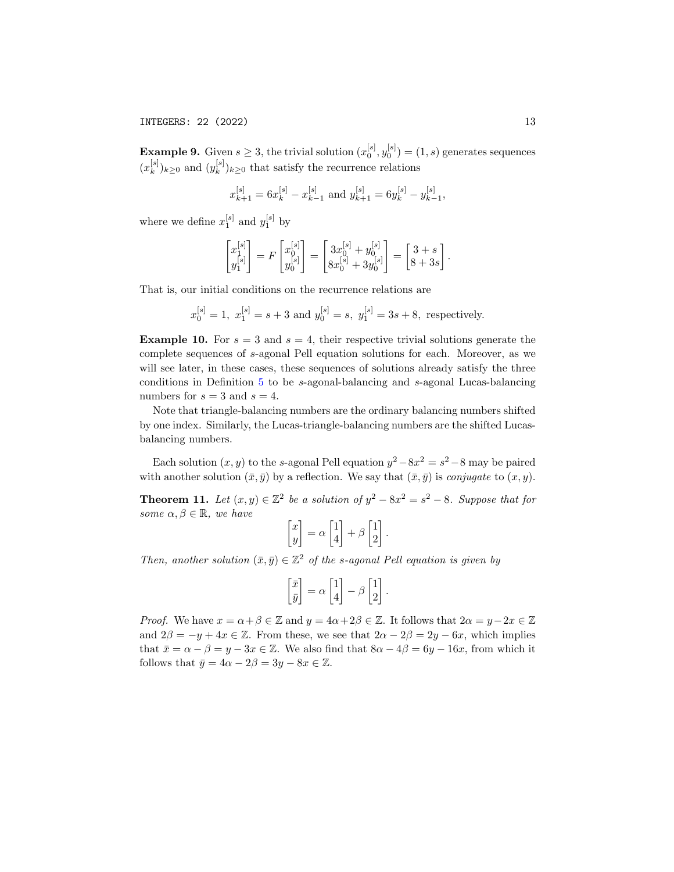**Example 9.** Given  $s \geq 3$ , the trivial solution  $(x_0^{[s]}, y_0^{[s]}) = (1, s)$  generates sequences  $(x_k^{[s]}$  $\binom{[s]}{k}$ <sub>k</sub> $\geq 0$  and  $(y_k^{[s]}$  $\binom{[s]}{k}$ <sub>k</sub> $\geq$ <sup>0</sup> that satisfy the recurrence relations

$$
x_{k+1}^{[s]} = 6x_k^{[s]} - x_{k-1}^{[s]}
$$
 and 
$$
y_{k+1}^{[s]} = 6y_k^{[s]} - y_{k-1}^{[s]},
$$

where we define  $x_1^{[s]}$  and  $y_1^{[s]}$  by

$$
\begin{bmatrix} x_1^{[s]} \\ y_1^{[s]} \end{bmatrix} = F \begin{bmatrix} x_0^{[s]} \\ y_0^{[s]} \end{bmatrix} = \begin{bmatrix} 3x_0^{[s]} + y_0^{[s]} \\ 8x_0^{[s]} + 3y_0^{[s]} \end{bmatrix} = \begin{bmatrix} 3+s \\ 8+3s \end{bmatrix}.
$$

That is, our initial conditions on the recurrence relations are

$$
x_0^{[s]} = 1
$$
,  $x_1^{[s]} = s + 3$  and  $y_0^{[s]} = s$ ,  $y_1^{[s]} = 3s + 8$ , respectively.

**Example 10.** For  $s = 3$  and  $s = 4$ , their respective trivial solutions generate the complete sequences of s-agonal Pell equation solutions for each. Moreover, as we will see later, in these cases, these sequences of solutions already satisfy the three conditions in Definition [5](#page-6-7) to be s-agonal-balancing and s-agonal Lucas-balancing numbers for  $s = 3$  and  $s = 4$ .

Note that triangle-balancing numbers are the ordinary balancing numbers shifted by one index. Similarly, the Lucas-triangle-balancing numbers are the shifted Lucasbalancing numbers.

Each solution  $(x, y)$  to the s-agonal Pell equation  $y^2 - 8x^2 = s^2 - 8$  may be paired with another solution  $(\bar{x}, \bar{y})$  by a reflection. We say that  $(\bar{x}, \bar{y})$  is *conjugate* to  $(x, y)$ .

<span id="page-12-0"></span>**Theorem 11.** Let  $(x, y) \in \mathbb{Z}^2$  be a solution of  $y^2 - 8x^2 = s^2 - 8$ . Suppose that for some  $\alpha, \beta \in \mathbb{R}$ , we have

$$
\begin{bmatrix} x \\ y \end{bmatrix} = \alpha \begin{bmatrix} 1 \\ 4 \end{bmatrix} + \beta \begin{bmatrix} 1 \\ 2 \end{bmatrix}.
$$

Then, another solution  $(\bar{x}, \bar{y}) \in \mathbb{Z}^2$  of the s-agonal Pell equation is given by

$$
\begin{bmatrix} \bar{x} \\ \bar{y} \end{bmatrix} = \alpha \begin{bmatrix} 1 \\ 4 \end{bmatrix} - \beta \begin{bmatrix} 1 \\ 2 \end{bmatrix}.
$$

*Proof.* We have  $x = \alpha + \beta \in \mathbb{Z}$  and  $y = 4\alpha + 2\beta \in \mathbb{Z}$ . It follows that  $2\alpha = y - 2x \in \mathbb{Z}$ and  $2\beta = -y + 4x \in \mathbb{Z}$ . From these, we see that  $2\alpha - 2\beta = 2y - 6x$ , which implies that  $\bar{x} = \alpha - \beta = y - 3x \in \mathbb{Z}$ . We also find that  $8\alpha - 4\beta = 6y - 16x$ , from which it follows that  $\bar{y} = 4\alpha - 2\beta = 3y - 8x \in \mathbb{Z}$ .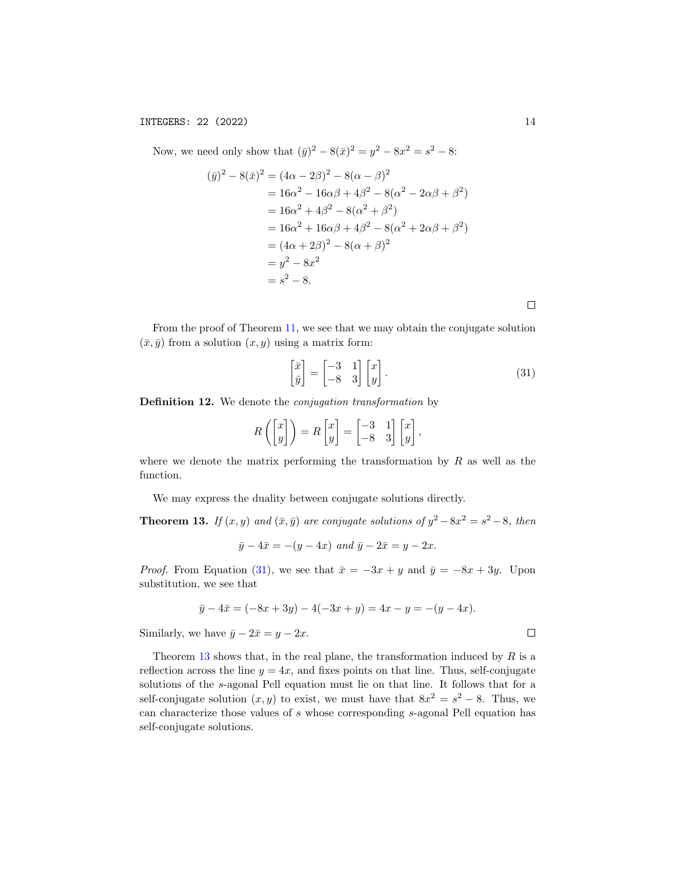Now, we need only show that  $(\bar{y})^2 - 8(\bar{x})^2 = y^2 - 8x^2 = s^2 - 8$ :

$$
(\bar{y})^2 - 8(\bar{x})^2 = (4\alpha - 2\beta)^2 - 8(\alpha - \beta)^2
$$
  
= 16\alpha^2 - 16\alpha\beta + 4\beta^2 - 8(\alpha^2 - 2\alpha\beta + \beta^2)  
= 16\alpha^2 + 4\beta^2 - 8(\alpha^2 + \beta^2)  
= 16\alpha^2 + 16\alpha\beta + 4\beta^2 - 8(\alpha^2 + 2\alpha\beta + \beta^2)  
= (4\alpha + 2\beta)^2 - 8(\alpha + \beta)^2  
= y^2 - 8x^2  
= s^2 - 8.

From the proof of Theorem [11,](#page-12-0) we see that we may obtain the conjugate solution  $(\bar{x}, \bar{y})$  from a solution  $(x, y)$  using a matrix form:

<span id="page-13-0"></span>
$$
\begin{bmatrix} \bar{x} \\ \bar{y} \end{bmatrix} = \begin{bmatrix} -3 & 1 \\ -8 & 3 \end{bmatrix} \begin{bmatrix} x \\ y \end{bmatrix}.
$$
 (31)

Definition 12. We denote the conjugation transformation by

$$
R\left(\begin{bmatrix} x \\ y \end{bmatrix}\right) = R\begin{bmatrix} x \\ y \end{bmatrix} = \begin{bmatrix} -3 & 1 \\ -8 & 3 \end{bmatrix} \begin{bmatrix} x \\ y \end{bmatrix},
$$

where we denote the matrix performing the transformation by  $R$  as well as the function.

We may express the duality between conjugate solutions directly.

<span id="page-13-1"></span>**Theorem 13.** If  $(x, y)$  and  $(\bar{x}, \bar{y})$  are conjugate solutions of  $y^2 - 8x^2 = s^2 - 8$ , then

$$
\bar{y} - 4\bar{x} = -(y - 4x)
$$
 and  $\bar{y} - 2\bar{x} = y - 2x$ .

*Proof.* From Equation [\(31\)](#page-13-0), we see that  $\bar{x} = -3x + y$  and  $\bar{y} = -8x + 3y$ . Upon substitution, we see that

$$
\bar{y} - 4\bar{x} = (-8x + 3y) - 4(-3x + y) = 4x - y = -(y - 4x).
$$

Similarly, we have  $\bar{y} - 2\bar{x} = y - 2x$ .

Theorem [13](#page-13-1) shows that, in the real plane, the transformation induced by  $R$  is a reflection across the line  $y = 4x$ , and fixes points on that line. Thus, self-conjugate solutions of the s-agonal Pell equation must lie on that line. It follows that for a self-conjugate solution  $(x, y)$  to exist, we must have that  $8x^2 = s^2 - 8$ . Thus, we can characterize those values of s whose corresponding s-agonal Pell equation has self-conjugate solutions.

 $\Box$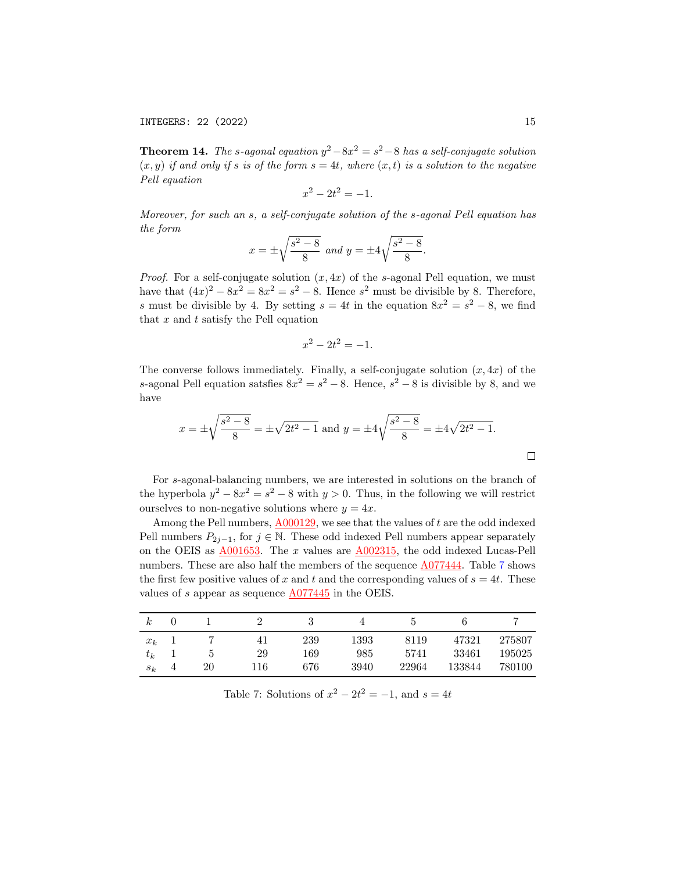INTEGERS: 22 (2022) 15

<span id="page-14-1"></span>**Theorem 14.** The s-agonal equation  $y^2 - 8x^2 = s^2 - 8$  has a self-conjugate solution  $(x, y)$  if and only if s is of the form  $s = 4t$ , where  $(x, t)$  is a solution to the negative Pell equation

$$
x^2 - 2t^2 = -1.
$$

Moreover, for such an s, a self-conjugate solution of the s-agonal Pell equation has the form

$$
x = \pm \sqrt{\frac{s^2 - 8}{8}}
$$
 and  $y = \pm 4\sqrt{\frac{s^2 - 8}{8}}$ .

*Proof.* For a self-conjugate solution  $(x, 4x)$  of the s-agonal Pell equation, we must have that  $(4x)^2 - 8x^2 = 8x^2 = s^2 - 8$ . Hence  $s^2$  must be divisible by 8. Therefore, s must be divisible by 4. By setting  $s = 4t$  in the equation  $8x^2 = s^2 - 8$ , we find that  $x$  and  $t$  satisfy the Pell equation

$$
x^2 - 2t^2 = -1.
$$

The converse follows immediately. Finally, a self-conjugate solution  $(x, 4x)$  of the s-agonal Pell equation satsfies  $8x^2 = s^2 - 8$ . Hence,  $s^2 - 8$  is divisible by 8, and we have

$$
x = \pm \sqrt{\frac{s^2 - 8}{8}} = \pm \sqrt{2t^2 - 1}
$$
 and  $y = \pm 4\sqrt{\frac{s^2 - 8}{8}} = \pm 4\sqrt{2t^2 - 1}$ .

For s-agonal-balancing numbers, we are interested in solutions on the branch of the hyperbola  $y^2 - 8x^2 = s^2 - 8$  with  $y > 0$ . Thus, in the following we will restrict ourselves to non-negative solutions where  $y = 4x$ .

Among the Pell numbers,  $A000129$ , we see that the values of t are the odd indexed Pell numbers  $P_{2j-1}$ , for  $j \in \mathbb{N}$ . These odd indexed Pell numbers appear separately on the OEIS as  $\underline{\text{A}001653}$ . The x values are  $\underline{\text{A}002315}$ , the odd indexed Lucas-Pell numbers. These are also half the members of the sequence [A077444.](http://oeis.org/A077444) Table [7](#page-14-0) shows the first few positive values of x and t and the corresponding values of  $s = 4t$ . These values of s appear as sequence  $\underline{A077445}$  $\underline{A077445}$  $\underline{A077445}$  in the OEIS.

| $_{\kappa}$ |    |     |     |      |       |        |        |
|-------------|----|-----|-----|------|-------|--------|--------|
| $x_k$       |    |     | 239 | 1393 | 8119  | 47321  | 275807 |
| $\tau_k$    | Ð  | 29  | 169 | 985  | 5741  | 33461  | 195025 |
| $s_k$       | 20 | 116 | 676 | 3940 | 22964 | 133844 | 780100 |

<span id="page-14-0"></span>Table 7: Solutions of  $x^2 - 2t^2 = -1$ , and  $s = 4t$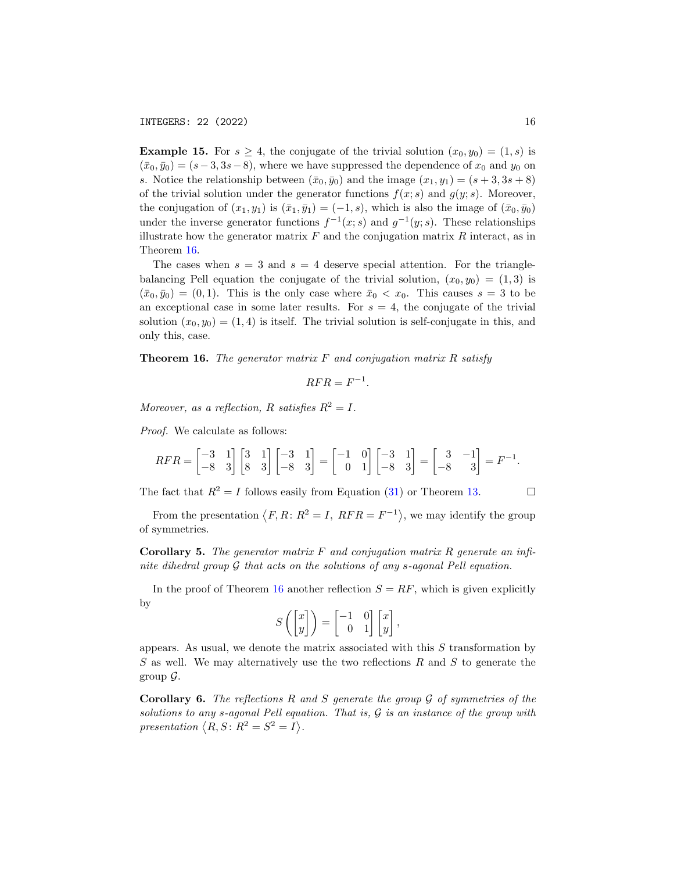**Example 15.** For  $s \geq 4$ , the conjugate of the trivial solution  $(x_0, y_0) = (1, s)$  is  $(\bar{x}_0, \bar{y}_0) = (s - 3, 3s - 8)$ , where we have suppressed the dependence of  $x_0$  and  $y_0$  on s. Notice the relationship between  $(\bar{x}_0, \bar{y}_0)$  and the image  $(x_1, y_1) = (s + 3, 3s + 8)$ of the trivial solution under the generator functions  $f(x; s)$  and  $g(y; s)$ . Moreover, the conjugation of  $(x_1, y_1)$  is  $(\bar{x}_1, \bar{y}_1) = (-1, s)$ , which is also the image of  $(\bar{x}_0, \bar{y}_0)$ under the inverse generator functions  $f^{-1}(x; s)$  and  $g^{-1}(y; s)$ . These relationships illustrate how the generator matrix  $F$  and the conjugation matrix  $R$  interact, as in Theorem [16.](#page-15-0)

The cases when  $s = 3$  and  $s = 4$  deserve special attention. For the trianglebalancing Pell equation the conjugate of the trivial solution,  $(x_0, y_0) = (1, 3)$  is  $(\bar{x}_0, \bar{y}_0) = (0, 1)$ . This is the only case where  $\bar{x}_0 < x_0$ . This causes  $s = 3$  to be an exceptional case in some later results. For  $s = 4$ , the conjugate of the trivial solution  $(x_0, y_0) = (1, 4)$  is itself. The trivial solution is self-conjugate in this, and only this, case.

<span id="page-15-0"></span>**Theorem 16.** The generator matrix  $F$  and conjugation matrix  $R$  satisfy

$$
RFR = F^{-1}.
$$

Moreover, as a reflection, R satisfies  $R^2 = I$ .

Proof. We calculate as follows:

$$
RFR = \begin{bmatrix} -3 & 1 \\ -8 & 3 \end{bmatrix} \begin{bmatrix} 3 & 1 \\ 8 & 3 \end{bmatrix} \begin{bmatrix} -3 & 1 \\ -8 & 3 \end{bmatrix} = \begin{bmatrix} -1 & 0 \\ 0 & 1 \end{bmatrix} \begin{bmatrix} -3 & 1 \\ -8 & 3 \end{bmatrix} = \begin{bmatrix} 3 & -1 \\ -8 & 3 \end{bmatrix} = F^{-1}.
$$

The fact that  $R^2 = I$  follows easily from Equation [\(31\)](#page-13-0) or Theorem [13.](#page-13-1)

From the presentation  $\langle F, R: R^2 = I, RFR = F^{-1} \rangle$ , we may identify the group of symmetries.

**Corollary 5.** The generator matrix  $F$  and conjugation matrix  $R$  generate an infinite dihedral group  $\mathcal G$  that acts on the solutions of any s-agonal Pell equation.

In the proof of Theorem [16](#page-15-0) another reflection  $S = RF$ , which is given explicitly by

$$
S\left(\begin{bmatrix} x \\ y \end{bmatrix}\right) = \begin{bmatrix} -1 & 0 \\ 0 & 1 \end{bmatrix} \begin{bmatrix} x \\ y \end{bmatrix},
$$

appears. As usual, we denote the matrix associated with this  $S$  transformation by S as well. We may alternatively use the two reflections R and S to generate the group  $\mathcal{G}$ .

**Corollary 6.** The reflections R and S generate the group  $\mathcal G$  of symmetries of the solutions to any s-agonal Pell equation. That is,  $G$  is an instance of the group with presentation  $\langle R, S : R^2 = S^2 = I \rangle$ .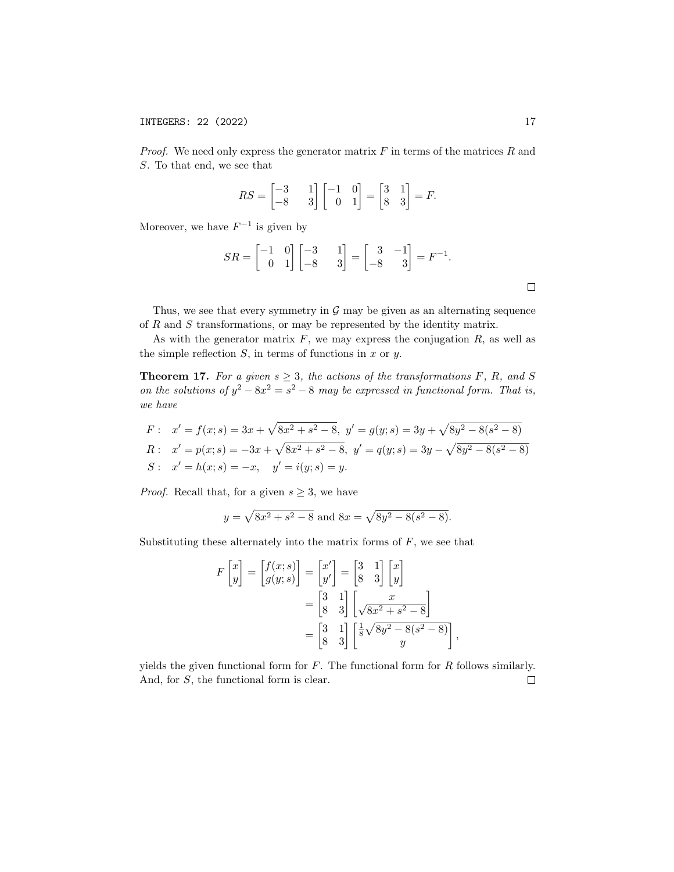*Proof.* We need only express the generator matrix  $F$  in terms of the matrices  $R$  and S. To that end, we see that

$$
RS = \begin{bmatrix} -3 & 1 \\ -8 & 3 \end{bmatrix} \begin{bmatrix} -1 & 0 \\ 0 & 1 \end{bmatrix} = \begin{bmatrix} 3 & 1 \\ 8 & 3 \end{bmatrix} = F.
$$

Moreover, we have  $F^{-1}$  is given by

$$
SR = \begin{bmatrix} -1 & 0 \\ 0 & 1 \end{bmatrix} \begin{bmatrix} -3 & 1 \\ -8 & 3 \end{bmatrix} = \begin{bmatrix} 3 & -1 \\ -8 & 3 \end{bmatrix} = F^{-1}.
$$

Thus, we see that every symmetry in  $\mathcal G$  may be given as an alternating sequence of  $R$  and  $S$  transformations, or may be represented by the identity matrix.

As with the generator matrix  $F$ , we may express the conjugation  $R$ , as well as the simple reflection  $S$ , in terms of functions in  $x$  or  $y$ .

<span id="page-16-0"></span>**Theorem 17.** For a given  $s \geq 3$ , the actions of the transformations F, R, and S on the solutions of  $y^2 - 8x^2 = s^2 - 8$  may be expressed in functional form. That is, we have

F: 
$$
x' = f(x; s) = 3x + \sqrt{8x^2 + s^2 - 8}
$$
,  $y' = g(y; s) = 3y + \sqrt{8y^2 - 8(s^2 - 8)}$   
\nR:  $x' = p(x; s) = -3x + \sqrt{8x^2 + s^2 - 8}$ ,  $y' = q(y; s) = 3y - \sqrt{8y^2 - 8(s^2 - 8)}$   
\nS:  $x' = h(x; s) = -x$ ,  $y' = i(y; s) = y$ .

*Proof.* Recall that, for a given  $s \geq 3$ , we have

$$
y = \sqrt{8x^2 + s^2 - 8}
$$
 and  $8x = \sqrt{8y^2 - 8(s^2 - 8)}$ .

Substituting these alternately into the matrix forms of  $F$ , we see that

$$
F\begin{bmatrix} x \\ y \end{bmatrix} = \begin{bmatrix} f(x; s) \\ g(y; s) \end{bmatrix} = \begin{bmatrix} x' \\ y' \end{bmatrix} = \begin{bmatrix} 3 & 1 \\ 8 & 3 \end{bmatrix} \begin{bmatrix} x \\ y \end{bmatrix}
$$

$$
= \begin{bmatrix} 3 & 1 \\ 8 & 3 \end{bmatrix} \begin{bmatrix} x \\ \sqrt{8x^2 + s^2 - 8} \end{bmatrix}
$$

$$
= \begin{bmatrix} 3 & 1 \\ 8 & 3 \end{bmatrix} \begin{bmatrix} \frac{1}{8}\sqrt{8y^2 - 8(s^2 - 8)} \\ y \end{bmatrix}
$$

,

yields the given functional form for  $F$ . The functional form for  $R$  follows similarly. And, for S, the functional form is clear. $\Box$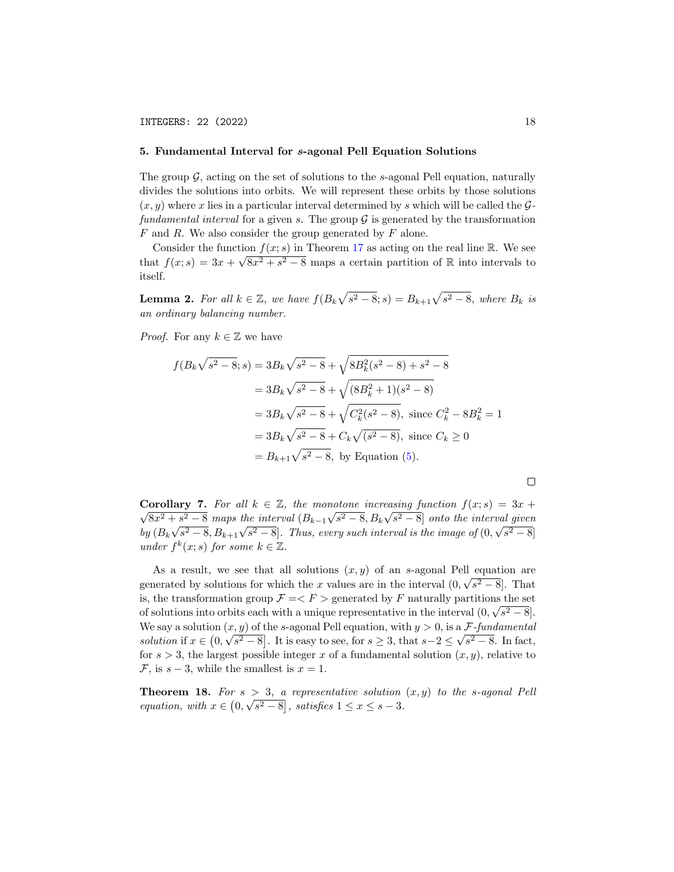## 5. Fundamental Interval for s-agonal Pell Equation Solutions

The group  $\mathcal G$ , acting on the set of solutions to the s-agonal Pell equation, naturally divides the solutions into orbits. We will represent these orbits by those solutions  $(x, y)$  where x lies in a particular interval determined by s which will be called the  $\mathcal{G}$ fundamental interval for a given s. The group  $\mathcal G$  is generated by the transformation  $F$  and  $R$ . We also consider the group generated by  $F$  alone.

Consider the function  $f(x; s)$  in Theorem [17](#page-16-0) as acting on the real line R. We see that  $f(x; s) = 3x + \sqrt{8x^2 + s^2 - 8}$  maps a certain partition of R into intervals to itself.

**Lemma 2.** For all  $k \in \mathbb{Z}$ , we have  $f(B_k\sqrt{s^2-8}; s) = B_{k+1}\sqrt{s^2-8}$ , where  $B_k$  is an ordinary balancing number.

*Proof.* For any  $k \in \mathbb{Z}$  we have

$$
f(B_k\sqrt{s^2 - 8}; s) = 3B_k\sqrt{s^2 - 8} + \sqrt{8B_k^2(s^2 - 8) + s^2 - 8}
$$
  
=  $3B_k\sqrt{s^2 - 8} + \sqrt{(8B_k^2 + 1)(s^2 - 8)}$   
=  $3B_k\sqrt{s^2 - 8} + \sqrt{C_k^2(s^2 - 8)}$ , since  $C_k^2 - 8B_k^2 = 1$   
=  $3B_k\sqrt{s^2 - 8} + C_k\sqrt{(s^2 - 8)}$ , since  $C_k \ge 0$   
=  $B_{k+1}\sqrt{s^2 - 8}$ , by Equation (5).

**Corollary 7.** For all  $k \in \mathbb{Z}$ , the monotone increasing function  $f(x; s) = 3x +$  $8x^2 + s^2 - 8$  maps the interval  $(B_{k-1}\sqrt{s^2 - 8}, B_k\sqrt{s^2 - 8}]$  onto the interval given by  $(B_k\sqrt{s^2-8},B_{k+1}\sqrt{s^2-8}]$ . Thus, every such interval is the image of  $(0,\sqrt{s^2-8}]$ under  $f^k(x; s)$  for some  $k \in \mathbb{Z}$ .

As a result, we see that all solutions  $(x, y)$  of an s-agonal Pell equation are generated by solutions for which the x values are in the interval  $(0, \sqrt{s^2 - 8}]$ . That is, the transformation group  $\mathcal{F} = \langle F \rangle$  generated by F naturally partitions the set of solutions into orbits each with a unique representative in the interval  $(0, \sqrt{s^2 - 8})$ . We say a solution  $(x, y)$  of the s-agonal Pell equation, with  $y > 0$ , is a  $\mathcal{F}\text{-}fundamental$ *solution* if  $x \in (0, \sqrt{s^2 - 8}]$ . It is easy to see, for  $s \geq 3$ , that  $s - 2 \leq \sqrt{s^2 - 8}$ . In fact, for  $s > 3$ , the largest possible integer x of a fundamental solution  $(x, y)$ , relative to  $\mathcal{F}$ , is  $s - 3$ , while the smallest is  $x = 1$ .

**Theorem 18.** For  $s > 3$ , a representative solution  $(x, y)$  to the s-agonal Pell equation, with  $x \in (0, \sqrt{s^2 - 8})$ , satisfies  $1 \le x \le s - 3$ .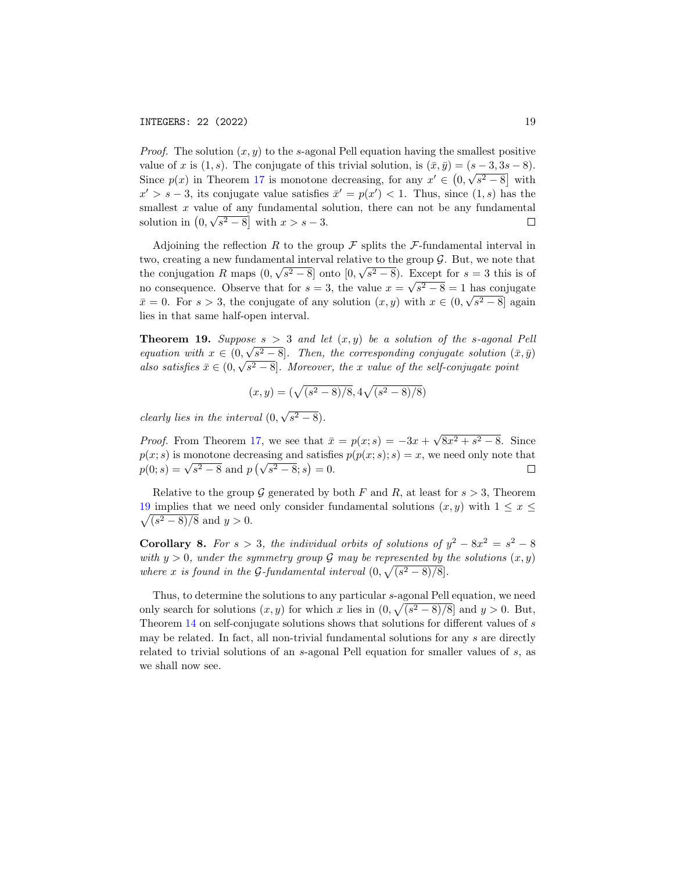*Proof.* The solution  $(x, y)$  to the s-agonal Pell equation having the smallest positive value of x is  $(1, s)$ . The conjugate of this trivial solution, is  $(\bar{x}, \bar{y}) = (s - 3, 3s - 8)$ . Since  $p(x)$  in Theorem [17](#page-16-0) is monotone decreasing, for any  $x' \in (0, \sqrt{s^2 - 8}]$  with  $x' > s - 3$ , its conjugate value satisfies  $\bar{x}' = p(x') < 1$ . Thus, since  $(1, s)$  has the smallest x value of any fundamental solution, there can not be any fundamental solution in  $(0, \sqrt{s^2 - 8}]$  with  $x > s - 3$ .  $\Box$ 

Adjoining the reflection R to the group  $\mathcal F$  splits the  $\mathcal F$ -fundamental interval in two, creating a new fundamental interval relative to the group  $\mathcal{G}$ . But, we note that the conjugation R maps  $(0, \sqrt{s^2 - 8})$  onto  $[0, \sqrt{s^2 - 8})$ . Except for  $s = 3$  this is of no consequence. Observe that for  $s = 3$ , the value  $x = \sqrt{s^2 - 8} = 1$  has conjugate  $\bar{x}=0$ . For  $s>3$ , the conjugate of any solution  $(x,y)$  with  $x\in(0,\sqrt{s^2-8}]$  again lies in that same half-open interval.

<span id="page-18-0"></span>**Theorem 19.** Suppose  $s > 3$  and let  $(x, y)$  be a solution of the s-agonal Pell equation with  $x \in (0, \sqrt{s^2 - 8}]$ . Then, the corresponding conjugate solution  $(\bar{x}, \bar{y})$ also satisfies  $\bar{x} \in (0, \sqrt{s^2 - 8}]$ . Moreover, the x value of the self-conjugate point

$$
(x, y) = (\sqrt{(s^2 - 8)/8}, 4\sqrt{(s^2 - 8)/8})
$$

clearly lies in the interval (0, √  $\overline{s^2-8}$ .

√  $8x^2 + s^2 - 8$ . Since *Proof.* From Theorem [17,](#page-16-0) we see that  $\bar{x} = p(x; s) = -3x +$  $p(x; s)$  is monotone decreasing and satisfies  $p(p(x; s); s) = x$ , we need only note that  $p(x; s)$  is monotone decreasing and satisfier<br>  $p(0; s) = \sqrt{s^2 - 8}$  and  $p(\sqrt{s^2 - 8}; s) = 0$ .  $\Box$ 

Relative to the group G generated by both F and R, at least for  $s > 3$ , Theorem  $\sqrt{(s^2-8)/8}$  and  $y > 0$ . [19](#page-18-0) implies that we need only consider fundamental solutions  $(x, y)$  with  $1 \le x \le$ 

**Corollary 8.** For  $s > 3$ , the individual orbits of solutions of  $y^2 - 8x^2 = s^2 - 8$ with  $y > 0$ , under the symmetry group G may be represented by the solutions  $(x, y)$ where x is found in the G-fundamental interval  $(0, \sqrt{(s^2 - 8)/8})$ .

Thus, to determine the solutions to any particular s-agonal Pell equation, we need only search for solutions  $(x, y)$  for which x lies in  $(0, \sqrt{(s^2 - 8)/8}]$  and  $y > 0$ . But, Theorem [14](#page-14-1) on self-conjugate solutions shows that solutions for different values of s may be related. In fact, all non-trivial fundamental solutions for any s are directly related to trivial solutions of an s-agonal Pell equation for smaller values of s, as we shall now see.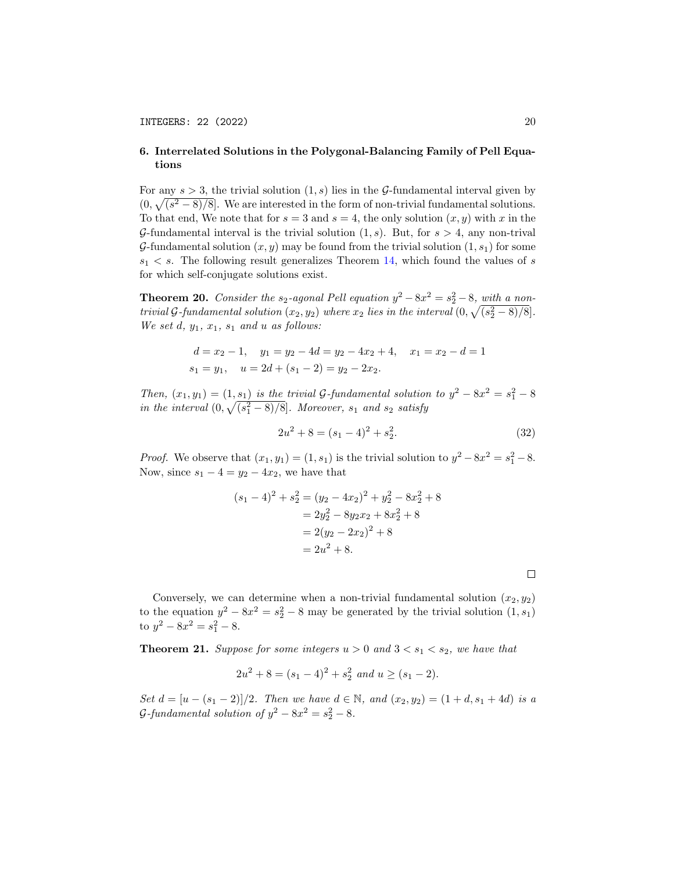## 6. Interrelated Solutions in the Polygonal-Balancing Family of Pell Equations

For any  $s > 3$ , the trivial solution  $(1, s)$  lies in the G-fundamental interval given by  $(0, \sqrt{(s^2-8)/8}]$ . We are interested in the form of non-trivial fundamental solutions. To that end, We note that for  $s = 3$  and  $s = 4$ , the only solution  $(x, y)$  with x in the G-fundamental interval is the trivial solution  $(1, s)$ . But, for  $s > 4$ , any non-trival G-fundamental solution  $(x, y)$  may be found from the trivial solution  $(1, s_1)$  for some  $s_1 < s$ . The following result generalizes Theorem [14,](#page-14-1) which found the values of s for which self-conjugate solutions exist.

<span id="page-19-2"></span>**Theorem 20.** Consider the  $s_2$ -agonal Pell equation  $y^2 - 8x^2 = s_2^2 - 8$ , with a nontrivial G-fundamental solution  $(x_2, y_2)$  where  $x_2$  lies in the interval  $(0, \sqrt{(s_2^2-8)/8}]$ . We set  $d, y_1, x_1, s_1$  and u as follows:

$$
d = x_2 - 1, \quad y_1 = y_2 - 4d = y_2 - 4x_2 + 4, \quad x_1 = x_2 - d = 1
$$
  

$$
s_1 = y_1, \quad u = 2d + (s_1 - 2) = y_2 - 2x_2.
$$

Then,  $(x_1, y_1) = (1, s_1)$  is the trivial G-fundamental solution to  $y^2 - 8x^2 = s_1^2 - 8$ in the interval  $(0, \sqrt{(s_1^2 - 8)/8}]$ . Moreover,  $s_1$  and  $s_2$  satisfy

<span id="page-19-1"></span>
$$
2u^2 + 8 = (s_1 - 4)^2 + s_2^2.
$$
 (32)

*Proof.* We observe that  $(x_1, y_1) = (1, s_1)$  is the trivial solution to  $y^2 - 8x^2 = s_1^2 - 8$ . Now, since  $s_1 - 4 = y_2 - 4x_2$ , we have that

$$
(s_1 - 4)^2 + s_2^2 = (y_2 - 4x_2)^2 + y_2^2 - 8x_2^2 + 8
$$
  
=  $2y_2^2 - 8y_2x_2 + 8x_2^2 + 8$   
=  $2(y_2 - 2x_2)^2 + 8$   
=  $2u^2 + 8$ .

Conversely, we can determine when a non-trivial fundamental solution  $(x_2, y_2)$ to the equation  $y^2 - 8x^2 = s_2^2 - 8$  may be generated by the trivial solution  $(1, s_1)$ to  $y^2 - 8x^2 = s_1^2 - 8$ .

<span id="page-19-0"></span>**Theorem 21.** Suppose for some integers  $u > 0$  and  $3 < s_1 < s_2$ , we have that

$$
2u^2 + 8 = (s_1 - 4)^2 + s_2^2 \text{ and } u \ge (s_1 - 2).
$$

Set  $d = [u - (s_1 - 2)]/2$ . Then we have  $d \in \mathbb{N}$ , and  $(x_2, y_2) = (1 + d, s_1 + 4d)$  is a G-fundamental solution of  $y^2 - 8x^2 = s_2^2 - 8$ .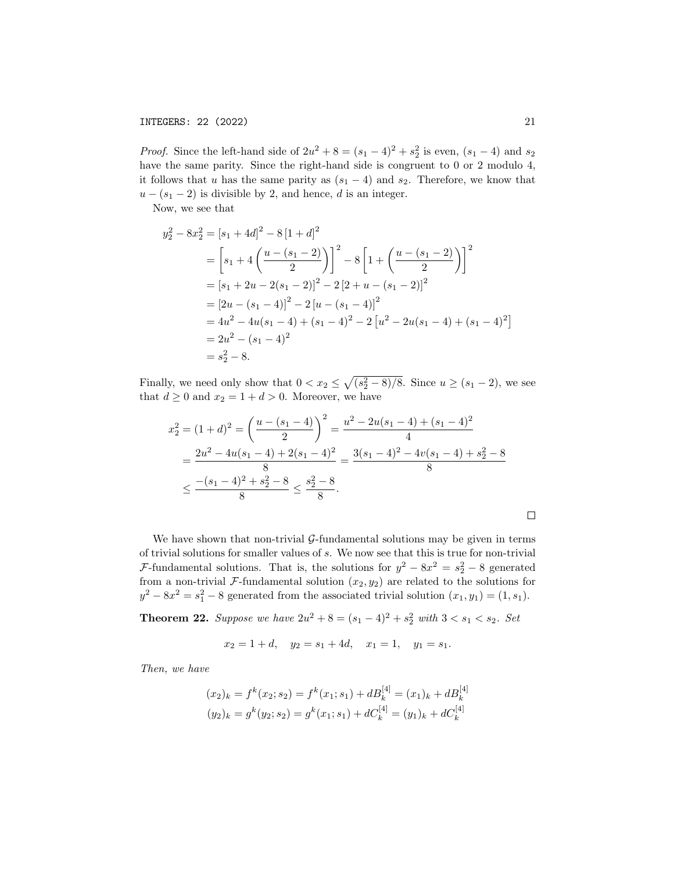*Proof.* Since the left-hand side of  $2u^2 + 8 = (s_1 - 4)^2 + s_2^2$  is even,  $(s_1 - 4)$  and  $s_2$ have the same parity. Since the right-hand side is congruent to 0 or 2 modulo 4, it follows that u has the same parity as  $(s_1 - 4)$  and  $s_2$ . Therefore, we know that  $u - (s_1 - 2)$  is divisible by 2, and hence, d is an integer.

Now, we see that

$$
y_2^2 - 8x_2^2 = [s_1 + 4d]^2 - 8[1 + d]^2
$$
  
=  $\left[ s_1 + 4\left( \frac{u - (s_1 - 2)}{2} \right) \right]^2 - 8\left[ 1 + \left( \frac{u - (s_1 - 2)}{2} \right) \right]^2$   
=  $\left[ s_1 + 2u - 2(s_1 - 2) \right]^2 - 2\left[ 2 + u - (s_1 - 2) \right]^2$   
=  $\left[ 2u - (s_1 - 4) \right]^2 - 2\left[ u - (s_1 - 4) \right]^2$   
=  $4u^2 - 4u(s_1 - 4) + (s_1 - 4)^2 - 2\left[ u^2 - 2u(s_1 - 4) + (s_1 - 4)^2 \right]$   
=  $2u^2 - (s_1 - 4)^2$   
=  $s_2^2 - 8$ .

Finally, we need only show that  $0 < x_2 \leq \sqrt{(s_2^2 - 8)/8}$ . Since  $u \geq (s_1 - 2)$ , we see that  $d \geq 0$  and  $x_2 = 1 + d > 0$ . Moreover, we have

$$
x_2^2 = (1+d)^2 = \left(\frac{u - (s_1 - 4)}{2}\right)^2 = \frac{u^2 - 2u(s_1 - 4) + (s_1 - 4)^2}{4}
$$
  
= 
$$
\frac{2u^2 - 4u(s_1 - 4) + 2(s_1 - 4)^2}{8} = \frac{3(s_1 - 4)^2 - 4v(s_1 - 4) + s_2^2 - 8}{8}
$$
  

$$
\le \frac{-(s_1 - 4)^2 + s_2^2 - 8}{8} \le \frac{s_2^2 - 8}{8}.
$$

We have shown that non-trivial  $G$ -fundamental solutions may be given in terms of trivial solutions for smaller values of s. We now see that this is true for non-trivial *F*-fundamental solutions. That is, the solutions for  $y^2 - 8x^2 = s_2^2 - 8$  generated from a non-trivial F-fundamental solution  $(x_2, y_2)$  are related to the solutions for  $y^2 - 8x^2 = s_1^2 - 8$  generated from the associated trivial solution  $(x_1, y_1) = (1, s_1)$ .

**Theorem 22.** Suppose we have  $2u^2 + 8 = (s_1 - 4)^2 + s_2^2$  with  $3 < s_1 < s_2$ . Set

 $x_2 = 1 + d$ ,  $y_2 = s_1 + 4d$ ,  $x_1 = 1$ ,  $y_1 = s_1$ .

Then, we have

$$
(x_2)_k = f^k(x_2; s_2) = f^k(x_1; s_1) + dB_k^{[4]} = (x_1)_k + dB_k^{[4]}
$$
  

$$
(y_2)_k = g^k(y_2; s_2) = g^k(x_1; s_1) + dC_k^{[4]} = (y_1)_k + dC_k^{[4]}
$$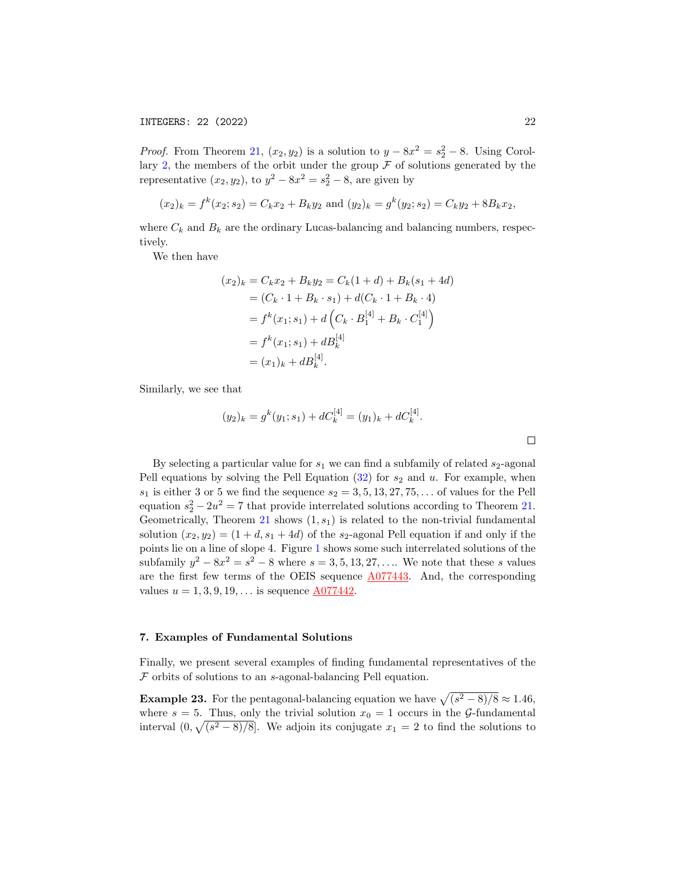*Proof.* From Theorem [21,](#page-19-0)  $(x_2, y_2)$  is a solution to  $y - 8x^2 = s_2^2 - 8$ . Using Corol-lary [2,](#page-10-2) the members of the orbit under the group  $\mathcal F$  of solutions generated by the representative  $(x_2, y_2)$ , to  $y^2 - 8x^2 = s_2^2 - 8$ , are given by

$$
(x_2)_k = f^k(x_2; s_2) = C_k x_2 + B_k y_2
$$
 and  $(y_2)_k = g^k(y_2; s_2) = C_k y_2 + 8B_k x_2$ ,

where  $C_k$  and  $B_k$  are the ordinary Lucas-balancing and balancing numbers, respectively.

We then have

$$
(x_2)_k = C_k x_2 + B_k y_2 = C_k (1 + d) + B_k (s_1 + 4d)
$$
  
=  $(C_k \cdot 1 + B_k \cdot s_1) + d(C_k \cdot 1 + B_k \cdot 4)$   
=  $f^k (x_1; s_1) + d (C_k \cdot B_1^{[4]} + B_k \cdot C_1^{[4]})$   
=  $f^k (x_1; s_1) + dB_k^{[4]}$   
=  $(x_1)_k + dB_k^{[4]}$ .

Similarly, we see that

$$
(y_2)_k = g^k(y_1; s_1) + dC_k^{[4]} = (y_1)_k + dC_k^{[4]}.
$$

By selecting a particular value for  $s_1$  we can find a subfamily of related  $s_2$ -agonal Pell equations by solving the Pell Equation  $(32)$  for  $s_2$  and u. For example, when  $s_1$  is either 3 or 5 we find the sequence  $s_2 = 3, 5, 13, 27, 75, \ldots$  of values for the Pell equation  $s_2^2 - 2u^2 = 7$  that provide interrelated solutions according to Theorem [21.](#page-19-0) Geometrically, Theorem [21](#page-19-0) shows  $(1, s_1)$  is related to the non-trivial fundamental solution  $(x_2, y_2) = (1 + d, s_1 + 4d)$  of the s<sub>2</sub>-agonal Pell equation if and only if the points lie on a line of slope 4. Figure [1](#page-22-0) shows some such interrelated solutions of the subfamily  $y^2 - 8x^2 = s^2 - 8$  where  $s = 3, 5, 13, 27, \ldots$  We note that these s values are the first few terms of the OEIS sequence [A077443.](http://oeis.org/A077443) And, the corresponding values  $u = 1, 3, 9, 19, \ldots$  is sequence  $\underline{A077442}$ .

## 7. Examples of Fundamental Solutions

Finally, we present several examples of finding fundamental representatives of the  $F$  orbits of solutions to an s-agonal-balancing Pell equation.

**Example 23.** For the pentagonal-balancing equation we have  $\sqrt{(s^2 - 8)/8} \approx 1.46$ , where  $s = 5$ . Thus, only the trivial solution  $x_0 = 1$  occurs in the G-fundamental interval  $(0, \sqrt{(s^2-8)/8}]$ . We adjoin its conjugate  $x_1 = 2$  to find the solutions to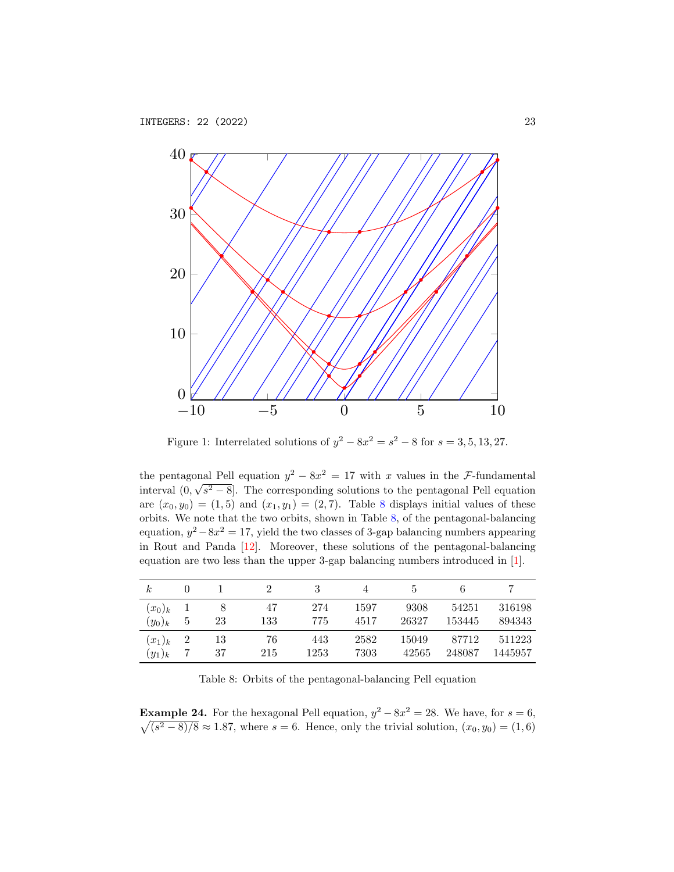

<span id="page-22-0"></span>Figure 1: Interrelated solutions of  $y^2 - 8x^2 = s^2 - 8$  for  $s = 3, 5, 13, 27$ .

the pentagonal Pell equation  $y^2 - 8x^2 = 17$  with x values in the F-fundamental interval  $(0, \sqrt{s^2 - 8}]$ . The corresponding solutions to the pentagonal Pell equation are  $(x_0, y_0) = (1, 5)$  and  $(x_1, y_1) = (2, 7)$ . Table [8](#page-22-1) displays initial values of these orbits. We note that the two orbits, shown in Table [8,](#page-22-1) of the pentagonal-balancing equation,  $y^2 - 8x^2 = 17$ , yield the two classes of 3-gap balancing numbers appearing in Rout and Panda [\[12\]](#page-25-4). Moreover, these solutions of the pentagonal-balancing equation are two less than the upper 3-gap balancing numbers introduced in [\[1\]](#page-24-2).

| $_{\kappa}$ |               |    |     |      |      | Ð     |        |         |
|-------------|---------------|----|-----|------|------|-------|--------|---------|
| $(x_0)_k$   |               |    | 47  | 274  | 1597 | 9308  | 54251  | 316198  |
| $(y_0)_k$   | $\mathcal{D}$ | 23 | 133 | 775  | 4517 | 26327 | 153445 | 894343  |
| $(x_1)_k$   |               | 13 | 76  | 443  | 2582 | 15049 | 87712  | 511223  |
| $(y_1)_k$   |               | 37 | 215 | 1253 | 7303 | 42565 | 248087 | 1445957 |

<span id="page-22-1"></span>Table 8: Orbits of the pentagonal-balancing Pell equation

**Example 24.** For the hexagonal Pell equation,  $y^2 - 8x^2 = 28$ . We have, for  $s = 6$ ,  $\sqrt{(s^2-8)/8} \approx 1.87$ , where  $s=6$ . Hence, only the trivial solution,  $(x_0, y_0) = (1, 6)$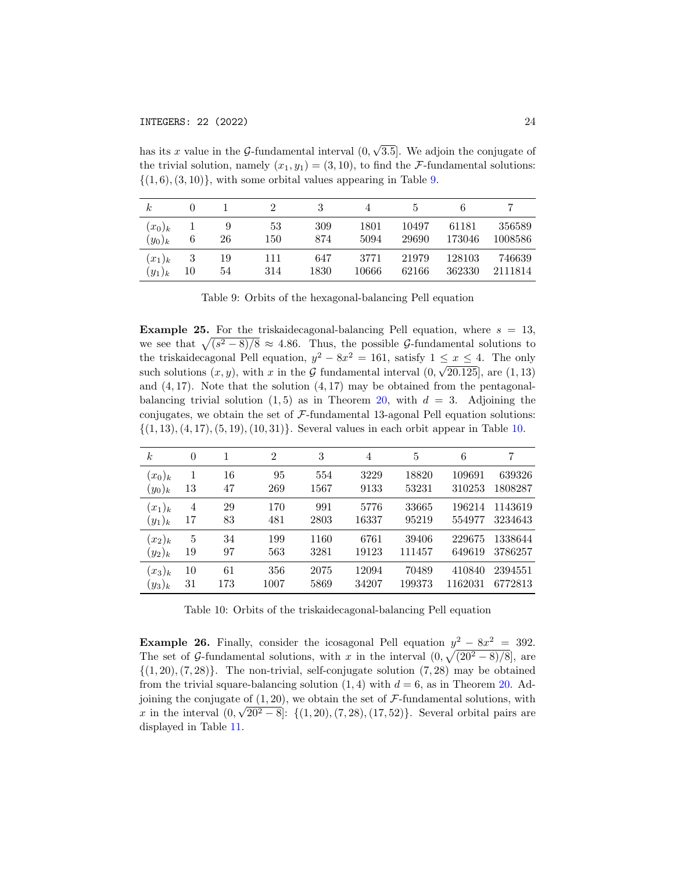has its x value in the  $\mathcal{G}\text{-}$ fundamental interval  $(0,$ √ 3.5]. We adjoin the conjugate of the trivial solution, namely  $(x_1, y_1) = (3, 10)$ , to find the *F*-fundamental solutions:  $\{(1,6), (3,10)\}\$ , with some orbital values appearing in Table [9.](#page-23-0)

| k.        |    |    |     |      |       | Ð     |        |         |
|-----------|----|----|-----|------|-------|-------|--------|---------|
| $(x_0)_k$ | 6  | 9  | 53  | 309  | 1801  | 10497 | 61181  | 356589  |
| $(y_0)_k$ |    | 26 | 150 | 874  | 5094  | 29690 | 173046 | 1008586 |
| $(x_1)_k$ | 3  | 19 | 111 | 647  | 3771  | 21979 | 128103 | 746639  |
| $(y_1)_k$ | 10 | 54 | 314 | 1830 | 10666 | 62166 | 362330 | 2111814 |

<span id="page-23-0"></span>Table 9: Orbits of the hexagonal-balancing Pell equation

**Example 25.** For the triskaidecagonal-balancing Pell equation, where  $s = 13$ , we see that  $\sqrt{(s^2-8)/8} \approx 4.86$ . Thus, the possible G-fundamental solutions to the triskaidecagonal Pell equation,  $y^2 - 8x^2 = 161$ , satisfy  $1 \le x \le 4$ . The only such solutions  $(x, y)$ , with x in the G fundamental interval  $(0, \sqrt{20.125})$ , are  $(1, 13)$ and  $(4, 17)$ . Note that the solution  $(4, 17)$  may be obtained from the pentagonalbalancing trivial solution  $(1, 5)$  as in Theorem [20,](#page-19-2) with  $d = 3$ . Adjoining the conjugates, we obtain the set of  $\mathcal{F}\text{-}$ fundamental 13-agonal Pell equation solutions:  $\{(1, 13), (4, 17), (5, 19), (10, 31)\}.$  Several values in each orbit appear in Table [10.](#page-23-1)

| $\boldsymbol{k}$ | $\theta$ | 1   | $\overline{2}$ | 3    | 4     | 5      | 6       | 7       |
|------------------|----------|-----|----------------|------|-------|--------|---------|---------|
| $(x_0)_k$        | 13       | 16  | 95             | 554  | 3229  | 18820  | 109691  | 639326  |
| $(y_0)_k$        |          | 47  | 269            | 1567 | 9133  | 53231  | 310253  | 1808287 |
| $(x_1)_k$        | 4        | 29  | 170            | 991  | 5776  | 33665  | 196214  | 1143619 |
| $(y_1)_k$        | 17       | 83  | 481            | 2803 | 16337 | 95219  | 554977  | 3234643 |
| $(x_2)_k$        | 5        | 34  | 199            | 1160 | 6761  | 39406  | 229675  | 1338644 |
| $(y_2)_k$        | 19       | 97  | 563            | 3281 | 19123 | 111457 | 649619  | 3786257 |
| $(x_3)_k$        | 10       | 61  | 356            | 2075 | 12094 | 70489  | 410840  | 2394551 |
| $(y_3)_k$        | 31       | 173 | 1007           | 5869 | 34207 | 199373 | 1162031 | 6772813 |

<span id="page-23-1"></span>Table 10: Orbits of the triskaidecagonal-balancing Pell equation

**Example 26.** Finally, consider the icosagonal Pell equation  $y^2 - 8x^2 = 392$ . The set of G-fundamental solutions, with x in the interval  $(0, \sqrt{(20^2 - 8)/8}]$ , are  $\{(1, 20), (7, 28)\}.$  The non-trivial, self-conjugate solution  $(7, 28)$  may be obtained from the trivial square-balancing solution  $(1, 4)$  with  $d = 6$ , as in Theorem [20.](#page-19-2) Adjoining the conjugate of  $(1, 20)$ , we obtain the set of F-fundamental solutions, with x in the interval  $(0, \sqrt{20^2 - 8}]$ :  $\{(1, 20), (7, 28), (17, 52)\}$ . Several orbital pairs are displayed in Table [11.](#page-24-3)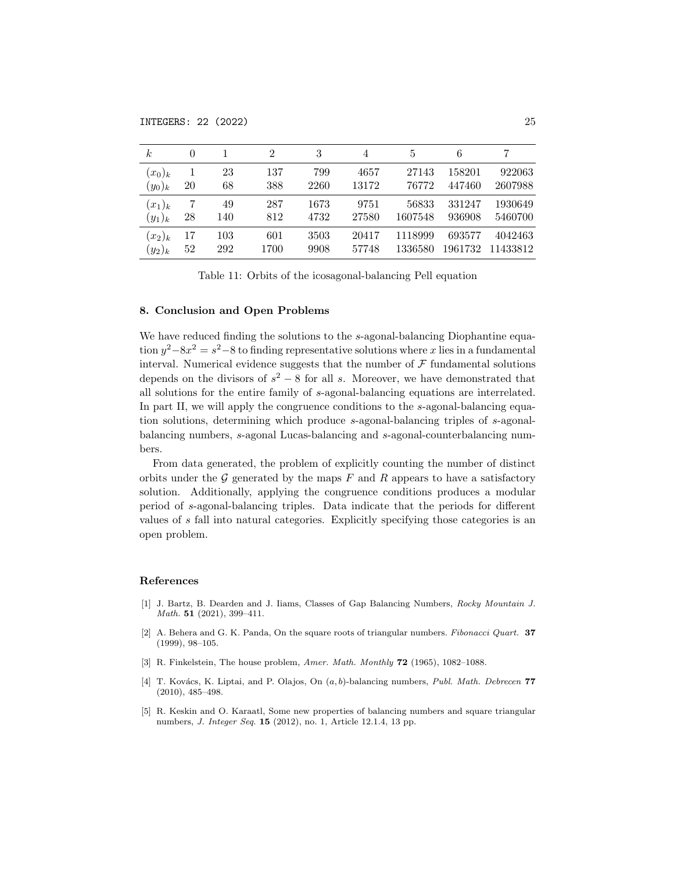| k.        |    |     | 2    | 3    | 4     | 5       | 6       |          |
|-----------|----|-----|------|------|-------|---------|---------|----------|
| $(x_0)_k$ |    | 23  | 137  | 799  | 4657  | 27143   | 158201  | 922063   |
| $(y_0)_k$ | 20 | 68  | 388  | 2260 | 13172 | 76772   | 447460  | 2607988  |
| $(x_1)_k$ |    | 49  | 287  | 1673 | 9751  | 56833   | 331247  | 1930649  |
| $(y_1)_k$ | 28 | 140 | 812  | 4732 | 27580 | 1607548 | 936908  | 5460700  |
| $(x_2)_k$ | 17 | 103 | 601  | 3503 | 20417 | 1118999 | 693577  | 4042463  |
| $(y_2)_k$ | 52 | 292 | 1700 | 9908 | 57748 | 1336580 | 1961732 | 11433812 |

<span id="page-24-3"></span>Table 11: Orbits of the icosagonal-balancing Pell equation

## 8. Conclusion and Open Problems

We have reduced finding the solutions to the s-agonal-balancing Diophantine equation  $y^2 - 8x^2 = s^2 - 8$  to finding representative solutions where x lies in a fundamental interval. Numerical evidence suggests that the number of  $\mathcal F$  fundamental solutions depends on the divisors of  $s^2 - 8$  for all s. Moreover, we have demonstrated that all solutions for the entire family of s-agonal-balancing equations are interrelated. In part II, we will apply the congruence conditions to the s-agonal-balancing equation solutions, determining which produce s-agonal-balancing triples of s-agonalbalancing numbers, s-agonal Lucas-balancing and s-agonal-counterbalancing numbers.

From data generated, the problem of explicitly counting the number of distinct orbits under the  $G$  generated by the maps  $F$  and  $R$  appears to have a satisfactory solution. Additionally, applying the congruence conditions produces a modular period of s-agonal-balancing triples. Data indicate that the periods for different values of s fall into natural categories. Explicitly specifying those categories is an open problem.

#### References

- <span id="page-24-2"></span>[1] J. Bartz, B. Dearden and J. Iiams, Classes of Gap Balancing Numbers, Rocky Mountain J. Math. 51 (2021), 399–411.
- <span id="page-24-0"></span>[2] A. Behera and G. K. Panda, On the square roots of triangular numbers. Fibonacci Quart. 37 (1999), 98–105.
- [3] R. Finkelstein, The house problem, Amer. Math. Monthly **72** (1965), 1082–1088.
- <span id="page-24-1"></span>[4] T. Kovács, K. Liptai, and P. Olajos, On  $(a, b)$ -balancing numbers, Publ. Math. Debrecen 77 (2010), 485–498.
- [5] R. Keskin and O. Karaatl, Some new properties of balancing numbers and square triangular numbers, J. Integer Seq. 15 (2012), no. 1, Article 12.1.4, 13 pp.